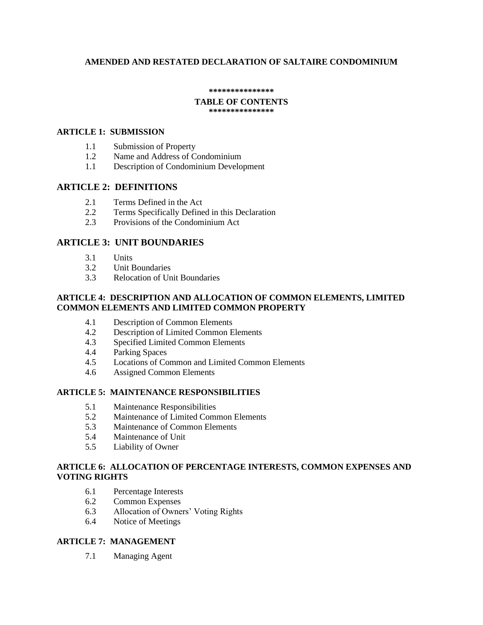## **AMENDED AND RESTATED DECLARATION OF SALTAIRE CONDOMINIUM**

#### **\*\*\*\*\*\*\*\*\*\*\*\*\*\*\***

# **TABLE OF CONTENTS**

**\*\*\*\*\*\*\*\*\*\*\*\*\*\*\***

#### **ARTICLE 1: SUBMISSION**

- 1.1 Submission of Property
- 1.2 Name and Address of Condominium
- 1.1 Description of Condominium Development

## **ARTICLE 2: DEFINITIONS**

- 2.1 Terms Defined in the Act
- 2.2 Terms Specifically Defined in this Declaration
- 2.3 Provisions of the Condominium Act

# **ARTICLE 3: UNIT BOUNDARIES**

- 3.1 Units
- 3.2 Unit Boundaries
- 3.3 Relocation of Unit Boundaries

### **ARTICLE 4: DESCRIPTION AND ALLOCATION OF COMMON ELEMENTS, LIMITED COMMON ELEMENTS AND LIMITED COMMON PROPERTY**

- 4.1 Description of Common Elements
- 4.2 Description of Limited Common Elements
- 4.3 Specified Limited Common Elements
- 4.4 Parking Spaces
- 4.5 Locations of Common and Limited Common Elements
- 4.6 Assigned Common Elements

### **ARTICLE 5: MAINTENANCE RESPONSIBILITIES**

- 5.1 Maintenance Responsibilities<br>5.2 Maintenance of Limited Comu
- Maintenance of Limited Common Elements
- 5.3 Maintenance of Common Elements
- 5.4 Maintenance of Unit
- 5.5 Liability of Owner

# **ARTICLE 6: ALLOCATION OF PERCENTAGE INTERESTS, COMMON EXPENSES AND VOTING RIGHTS**

- 6.1 Percentage Interests
- 6.2 Common Expenses
- 6.3 Allocation of Owners' Voting Rights
- 6.4 Notice of Meetings

# **ARTICLE 7: MANAGEMENT**

7.1 Managing Agent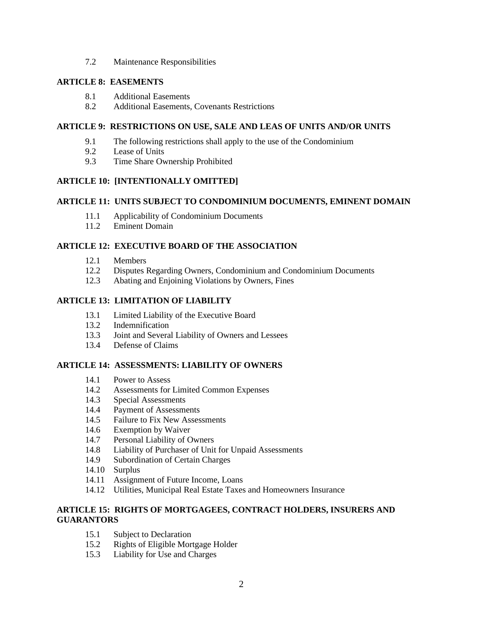7.2 Maintenance Responsibilities

## **ARTICLE 8: EASEMENTS**

- 8.1 Additional Easements
- 8.2 Additional Easements, Covenants Restrictions

# **ARTICLE 9: RESTRICTIONS ON USE, SALE AND LEAS OF UNITS AND/OR UNITS**

- 9.1 The following restrictions shall apply to the use of the Condominium
- 9.2 Lease of Units
- 9.3 Time Share Ownership Prohibited

# **ARTICLE 10: [INTENTIONALLY OMITTED]**

# **ARTICLE 11: UNITS SUBJECT TO CONDOMINIUM DOCUMENTS, EMINENT DOMAIN**

- 11.1 Applicability of Condominium Documents
- 11.2 Eminent Domain

# **ARTICLE 12: EXECUTIVE BOARD OF THE ASSOCIATION**

- 12.1 Members
- 12.2 Disputes Regarding Owners, Condominium and Condominium Documents
- 12.3 Abating and Enjoining Violations by Owners, Fines

# **ARTICLE 13: LIMITATION OF LIABILITY**

- 13.1 Limited Liability of the Executive Board
- 13.2 Indemnification
- 13.3 Joint and Several Liability of Owners and Lessees
- 13.4 Defense of Claims

### **ARTICLE 14: ASSESSMENTS: LIABILITY OF OWNERS**

- 14.1 Power to Assess
- 14.2 Assessments for Limited Common Expenses
- 14.3 Special Assessments
- 14.4 Payment of Assessments
- 14.5 Failure to Fix New Assessments<br>14.6 Exemption by Waiver
- Exemption by Waiver
- 14.7 Personal Liability of Owners
- 14.8 Liability of Purchaser of Unit for Unpaid Assessments
- 14.9 Subordination of Certain Charges
- 14.10 Surplus
- 14.11 Assignment of Future Income, Loans
- 14.12 Utilities, Municipal Real Estate Taxes and Homeowners Insurance

# **ARTICLE 15: RIGHTS OF MORTGAGEES, CONTRACT HOLDERS, INSURERS AND GUARANTORS**

- 15.1 Subject to Declaration
- 15.2 Rights of Eligible Mortgage Holder
- 15.3 Liability for Use and Charges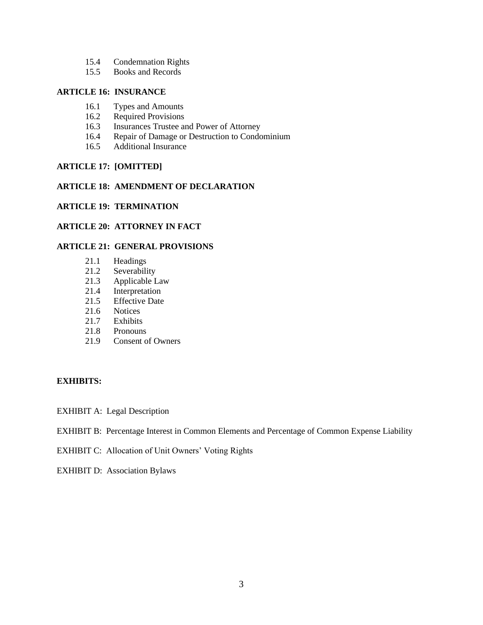- 15.4 Condemnation Rights
- 15.5 Books and Records

# **ARTICLE 16: INSURANCE**

- 16.1 Types and Amounts<br>16.2 Required Provisions
- Required Provisions
- 16.3 Insurances Trustee and Power of Attorney
- 16.4 Repair of Damage or Destruction to Condominium
- 16.5 Additional Insurance

### **ARTICLE 17: [OMITTED]**

## **ARTICLE 18: AMENDMENT OF DECLARATION**

#### **ARTICLE 19: TERMINATION**

### **ARTICLE 20: ATTORNEY IN FACT**

#### **ARTICLE 21: GENERAL PROVISIONS**

- 21.1 Headings<br>21.2 Severabili
- Severability
- 21.3 Applicable Law
- 21.4 Interpretation<br>21.5 Effective Date
- **Effective Date**
- 21.6 Notices
- 
- 21.7 Exhibits<br>21.8 Pronouns Pronouns
- 21.9 Consent of Owners

#### **EXHIBITS:**

- EXHIBIT A: Legal Description
- EXHIBIT B: Percentage Interest in Common Elements and Percentage of Common Expense Liability
- EXHIBIT C: Allocation of Unit Owners' Voting Rights
- EXHIBIT D: Association Bylaws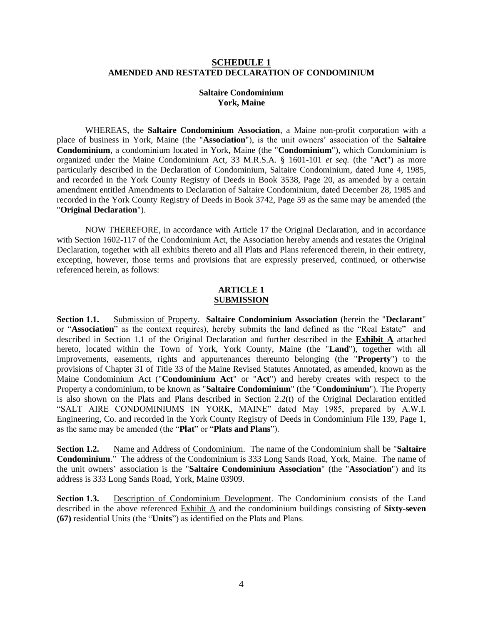### **SCHEDULE 1 AMENDED AND RESTATED DECLARATION OF CONDOMINIUM**

#### **Saltaire Condominium York, Maine**

WHEREAS, the **Saltaire Condominium Association**, a Maine non-profit corporation with a place of business in York, Maine (the "**Association**"), is the unit owners' association of the **Saltaire Condominium**, a condominium located in York, Maine (the "**Condominium**"), which Condominium is organized under the Maine Condominium Act, 33 M.R.S.A. § 1601-101 *et seq.* (the "**Act**") as more particularly described in the Declaration of Condominium, Saltaire Condominium, dated June 4, 1985, and recorded in the York County Registry of Deeds in Book 3538, Page 20, as amended by a certain amendment entitled Amendments to Declaration of Saltaire Condominium, dated December 28, 1985 and recorded in the York County Registry of Deeds in Book 3742, Page 59 as the same may be amended (the "**Original Declaration**").

NOW THEREFORE, in accordance with Article 17 the Original Declaration, and in accordance with Section 1602-117 of the Condominium Act, the Association hereby amends and restates the Original Declaration, together with all exhibits thereto and all Plats and Plans referenced therein, in their entirety, excepting, however, those terms and provisions that are expressly preserved, continued, or otherwise referenced herein, as follows:

### **ARTICLE 1 SUBMISSION**

**Section 1.1.** Submission of Property. **Saltaire Condominium Association** (herein the "**Declarant**" or "**Association**" as the context requires), hereby submits the land defined as the "Real Estate" and described in Section 1.1 of the Original Declaration and further described in the **Exhibit A** attached hereto, located within the Town of York, York County, Maine (the "**Land**"), together with all improvements, easements, rights and appurtenances thereunto belonging (the "**Property**") to the provisions of Chapter 31 of Title 33 of the Maine Revised Statutes Annotated, as amended, known as the Maine Condominium Act ("**Condominium Act**" or "**Act**") and hereby creates with respect to the Property a condominium, to be known as "**Saltaire Condominium**" (the "**Condominium**"). The Property is also shown on the Plats and Plans described in Section 2.2(t) of the Original Declaration entitled "SALT AIRE CONDOMINIUMS IN YORK, MAINE" dated May 1985, prepared by A.W.I. Engineering, Co. and recorded in the York County Registry of Deeds in Condominium File 139, Page 1, as the same may be amended (the "**Plat**" or "**Plats and Plans**").

**Section 1.2.** Name and Address of Condominium. The name of the Condominium shall be "**Saltaire Condominium**." The address of the Condominium is 333 Long Sands Road, York, Maine. The name of the unit owners' association is the "**Saltaire Condominium Association**" (the "**Association**") and its address is 333 Long Sands Road, York, Maine 03909.

**Section 1.3.** Description of Condominium Development. The Condominium consists of the Land described in the above referenced Exhibit A and the condominium buildings consisting of **Sixty-seven (67)** residential Units (the "**Units**") as identified on the Plats and Plans.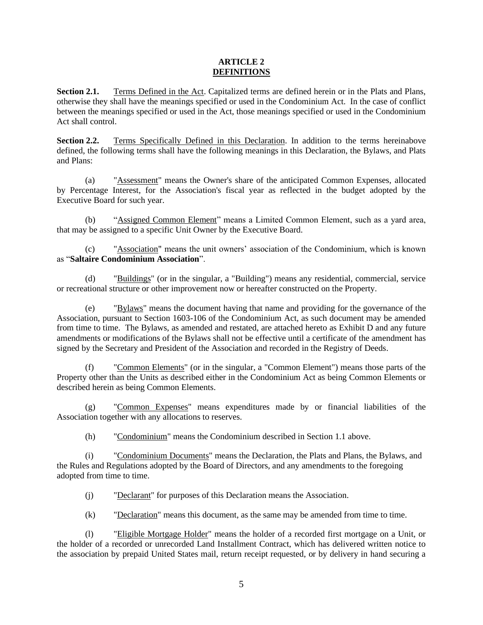#### **ARTICLE 2 DEFINITIONS**

**Section 2.1.** Terms Defined in the Act. Capitalized terms are defined herein or in the Plats and Plans, otherwise they shall have the meanings specified or used in the Condominium Act. In the case of conflict between the meanings specified or used in the Act, those meanings specified or used in the Condominium Act shall control.

**Section 2.2.** Terms Specifically Defined in this Declaration. In addition to the terms hereinabove defined, the following terms shall have the following meanings in this Declaration, the Bylaws, and Plats and Plans:

(a) "Assessment" means the Owner's share of the anticipated Common Expenses, allocated by Percentage Interest, for the Association's fiscal year as reflected in the budget adopted by the Executive Board for such year.

(b) "Assigned Common Element" means a Limited Common Element, such as a yard area, that may be assigned to a specific Unit Owner by the Executive Board.

(c) "Association" means the unit owners' association of the Condominium, which is known as "**Saltaire Condominium Association**".

(d) "Buildings" (or in the singular, a "Building") means any residential, commercial, service or recreational structure or other improvement now or hereafter constructed on the Property.

(e) "Bylaws" means the document having that name and providing for the governance of the Association, pursuant to Section 1603-106 of the Condominium Act, as such document may be amended from time to time. The Bylaws, as amended and restated, are attached hereto as Exhibit D and any future amendments or modifications of the Bylaws shall not be effective until a certificate of the amendment has signed by the Secretary and President of the Association and recorded in the Registry of Deeds.

(f) "Common Elements" (or in the singular, a "Common Element") means those parts of the Property other than the Units as described either in the Condominium Act as being Common Elements or described herein as being Common Elements.

(g) "Common Expenses" means expenditures made by or financial liabilities of the Association together with any allocations to reserves.

(h) "Condominium" means the Condominium described in Section 1.1 above.

(i) "Condominium Documents" means the Declaration, the Plats and Plans, the Bylaws, and the Rules and Regulations adopted by the Board of Directors, and any amendments to the foregoing adopted from time to time.

(j) "Declarant" for purposes of this Declaration means the Association.

(k) "Declaration" means this document, as the same may be amended from time to time.

(l) "Eligible Mortgage Holder" means the holder of a recorded first mortgage on a Unit, or the holder of a recorded or unrecorded Land Installment Contract, which has delivered written notice to the association by prepaid United States mail, return receipt requested, or by delivery in hand securing a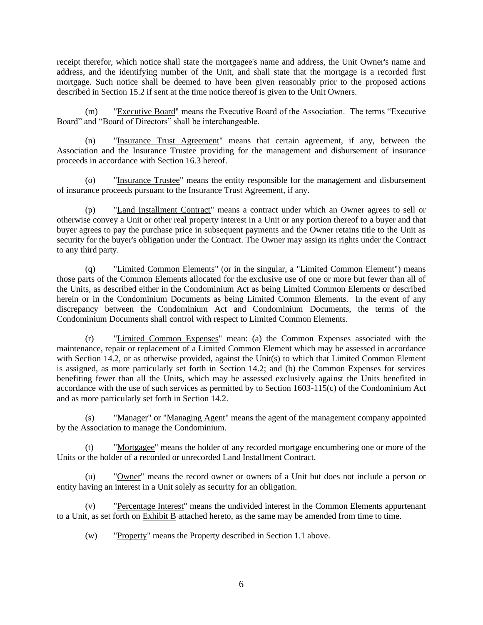receipt therefor, which notice shall state the mortgagee's name and address, the Unit Owner's name and address, and the identifying number of the Unit, and shall state that the mortgage is a recorded first mortgage. Such notice shall be deemed to have been given reasonably prior to the proposed actions described in Section 15.2 if sent at the time notice thereof is given to the Unit Owners.

(m) "Executive Board" means the Executive Board of the Association. The terms "Executive Board" and "Board of Directors" shall be interchangeable.

(n) "Insurance Trust Agreement" means that certain agreement, if any, between the Association and the Insurance Trustee providing for the management and disbursement of insurance proceeds in accordance with Section 16.3 hereof.

(o) "Insurance Trustee" means the entity responsible for the management and disbursement of insurance proceeds pursuant to the Insurance Trust Agreement, if any.

(p) "Land Installment Contract" means a contract under which an Owner agrees to sell or otherwise convey a Unit or other real property interest in a Unit or any portion thereof to a buyer and that buyer agrees to pay the purchase price in subsequent payments and the Owner retains title to the Unit as security for the buyer's obligation under the Contract. The Owner may assign its rights under the Contract to any third party.

(q) "Limited Common Elements" (or in the singular, a "Limited Common Element") means those parts of the Common Elements allocated for the exclusive use of one or more but fewer than all of the Units, as described either in the Condominium Act as being Limited Common Elements or described herein or in the Condominium Documents as being Limited Common Elements. In the event of any discrepancy between the Condominium Act and Condominium Documents, the terms of the Condominium Documents shall control with respect to Limited Common Elements.

(r) "Limited Common Expenses" mean: (a) the Common Expenses associated with the maintenance, repair or replacement of a Limited Common Element which may be assessed in accordance with Section 14.2, or as otherwise provided, against the Unit(s) to which that Limited Common Element is assigned, as more particularly set forth in Section 14.2; and (b) the Common Expenses for services benefiting fewer than all the Units, which may be assessed exclusively against the Units benefited in accordance with the use of such services as permitted by to Section 1603-115(c) of the Condominium Act and as more particularly set forth in Section 14.2.

(s) "Manager" or "Managing Agent" means the agent of the management company appointed by the Association to manage the Condominium.

"Mortgagee" means the holder of any recorded mortgage encumbering one or more of the Units or the holder of a recorded or unrecorded Land Installment Contract.

(u) "Owner" means the record owner or owners of a Unit but does not include a person or entity having an interest in a Unit solely as security for an obligation.

(v) "Percentage Interest" means the undivided interest in the Common Elements appurtenant to a Unit, as set forth on Exhibit B attached hereto, as the same may be amended from time to time.

(w) "Property" means the Property described in Section 1.1 above.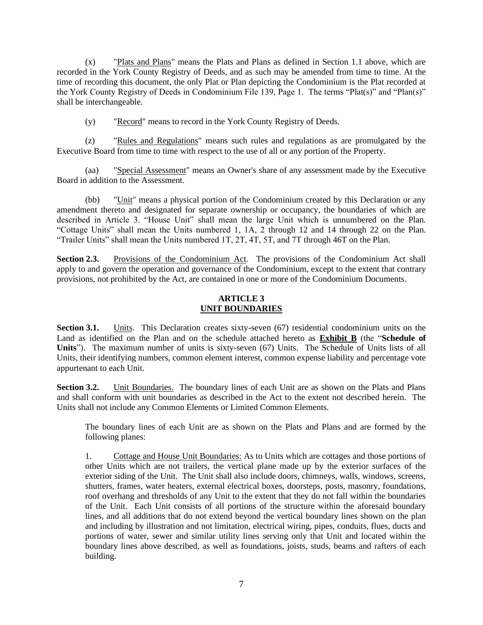(x) "Plats and Plans" means the Plats and Plans as defined in Section 1.1 above, which are recorded in the York County Registry of Deeds, and as such may be amended from time to time. At the time of recording this document, the only Plat or Plan depicting the Condominium is the Plat recorded at the York County Registry of Deeds in Condominium File 139, Page 1. The terms "Plat(s)" and "Plan(s)" shall be interchangeable.

(y) "Record" means to record in the York County Registry of Deeds.

(z) "Rules and Regulations" means such rules and regulations as are promulgated by the Executive Board from time to time with respect to the use of all or any portion of the Property.

(aa) "Special Assessment" means an Owner's share of any assessment made by the Executive Board in addition to the Assessment.

(bb) "Unit" means a physical portion of the Condominium created by this Declaration or any amendment thereto and designated for separate ownership or occupancy, the boundaries of which are described in Article 3. "House Unit" shall mean the large Unit which is unnumbered on the Plan. "Cottage Units" shall mean the Units numbered 1, 1A, 2 through 12 and 14 through 22 on the Plan. "Trailer Units" shall mean the Units numbered 1T, 2T, 4T, 5T, and 7T through 46T on the Plan.

**Section 2.3.** Provisions of the Condominium Act. The provisions of the Condominium Act shall apply to and govern the operation and governance of the Condominium, except to the extent that contrary provisions, not prohibited by the Act, are contained in one or more of the Condominium Documents.

# **ARTICLE 3 UNIT BOUNDARIES**

**Section 3.1.** Units. This Declaration creates sixty-seven (67) residential condominium units on the Land as identified on the Plan and on the schedule attached hereto as **Exhibit B** (the "**Schedule of Units**"). The maximum number of units is sixty-seven (67) Units. The Schedule of Units lists of all Units, their identifying numbers, common element interest, common expense liability and percentage vote appurtenant to each Unit.

**Section 3.2.** Unit Boundaries. The boundary lines of each Unit are as shown on the Plats and Plans and shall conform with unit boundaries as described in the Act to the extent not described herein. The Units shall not include any Common Elements or Limited Common Elements.

The boundary lines of each Unit are as shown on the Plats and Plans and are formed by the following planes:

1. Cottage and House Unit Boundaries: As to Units which are cottages and those portions of other Units which are not trailers, the vertical plane made up by the exterior surfaces of the exterior siding of the Unit. The Unit shall also include doors, chimneys, walls, windows, screens, shutters, frames, water heaters, external electrical boxes, doorsteps, posts, masonry, foundations, roof overhang and thresholds of any Unit to the extent that they do not fall within the boundaries of the Unit. Each Unit consists of all portions of the structure within the aforesaid boundary lines, and all additions that do not extend beyond the vertical boundary lines shown on the plan and including by illustration and not limitation, electrical wiring, pipes, conduits, flues, ducts and portions of water, sewer and similar utility lines serving only that Unit and located within the boundary lines above described, as well as foundations, joists, studs, beams and rafters of each building.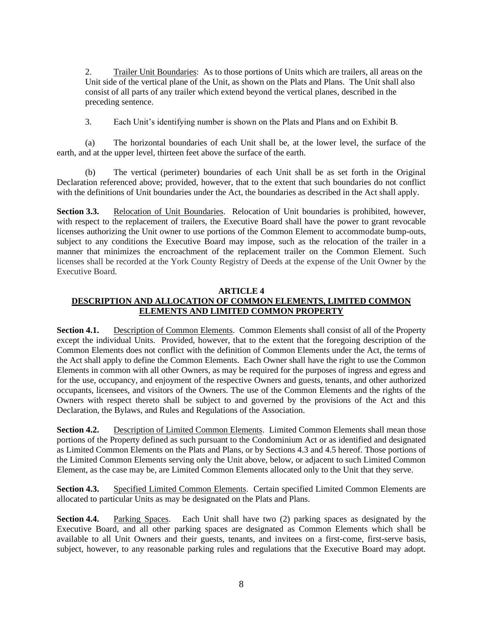2. Trailer Unit Boundaries: As to those portions of Units which are trailers, all areas on the Unit side of the vertical plane of the Unit, as shown on the Plats and Plans. The Unit shall also consist of all parts of any trailer which extend beyond the vertical planes, described in the preceding sentence.

3. Each Unit's identifying number is shown on the Plats and Plans and on Exhibit B.

(a) The horizontal boundaries of each Unit shall be, at the lower level, the surface of the earth, and at the upper level, thirteen feet above the surface of the earth.

(b) The vertical (perimeter) boundaries of each Unit shall be as set forth in the Original Declaration referenced above; provided, however, that to the extent that such boundaries do not conflict with the definitions of Unit boundaries under the Act, the boundaries as described in the Act shall apply.

**Section 3.3.** Relocation of Unit Boundaries. Relocation of Unit boundaries is prohibited, however, with respect to the replacement of trailers, the Executive Board shall have the power to grant revocable licenses authorizing the Unit owner to use portions of the Common Element to accommodate bump-outs, subject to any conditions the Executive Board may impose, such as the relocation of the trailer in a manner that minimizes the encroachment of the replacement trailer on the Common Element. Such licenses shall be recorded at the York County Registry of Deeds at the expense of the Unit Owner by the Executive Board.

### **ARTICLE 4**

# **DESCRIPTION AND ALLOCATION OF COMMON ELEMENTS, LIMITED COMMON ELEMENTS AND LIMITED COMMON PROPERTY**

**Section 4.1.** Description of Common Elements. Common Elements shall consist of all of the Property except the individual Units. Provided, however, that to the extent that the foregoing description of the Common Elements does not conflict with the definition of Common Elements under the Act, the terms of the Act shall apply to define the Common Elements. Each Owner shall have the right to use the Common Elements in common with all other Owners, as may be required for the purposes of ingress and egress and for the use, occupancy, and enjoyment of the respective Owners and guests, tenants, and other authorized occupants, licensees, and visitors of the Owners. The use of the Common Elements and the rights of the Owners with respect thereto shall be subject to and governed by the provisions of the Act and this Declaration, the Bylaws, and Rules and Regulations of the Association.

**Section 4.2.** Description of Limited Common Elements. Limited Common Elements shall mean those portions of the Property defined as such pursuant to the Condominium Act or as identified and designated as Limited Common Elements on the Plats and Plans, or by Sections 4.3 and 4.5 hereof. Those portions of the Limited Common Elements serving only the Unit above, below, or adjacent to such Limited Common Element, as the case may be, are Limited Common Elements allocated only to the Unit that they serve.

**Section 4.3.** Specified Limited Common Elements. Certain specified Limited Common Elements are allocated to particular Units as may be designated on the Plats and Plans.

**Section 4.4.** Parking Spaces. Each Unit shall have two (2) parking spaces as designated by the Executive Board, and all other parking spaces are designated as Common Elements which shall be available to all Unit Owners and their guests, tenants, and invitees on a first-come, first-serve basis, subject, however, to any reasonable parking rules and regulations that the Executive Board may adopt.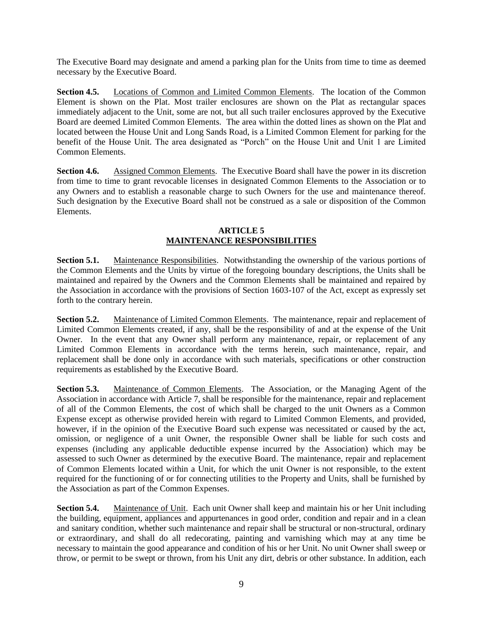The Executive Board may designate and amend a parking plan for the Units from time to time as deemed necessary by the Executive Board.

Section 4.5. Locations of Common and Limited Common Elements. The location of the Common Element is shown on the Plat. Most trailer enclosures are shown on the Plat as rectangular spaces immediately adjacent to the Unit, some are not, but all such trailer enclosures approved by the Executive Board are deemed Limited Common Elements. The area within the dotted lines as shown on the Plat and located between the House Unit and Long Sands Road, is a Limited Common Element for parking for the benefit of the House Unit. The area designated as "Porch" on the House Unit and Unit 1 are Limited Common Elements.

**Section 4.6.** Assigned Common Elements. The Executive Board shall have the power in its discretion from time to time to grant revocable licenses in designated Common Elements to the Association or to any Owners and to establish a reasonable charge to such Owners for the use and maintenance thereof. Such designation by the Executive Board shall not be construed as a sale or disposition of the Common Elements.

## **ARTICLE 5 MAINTENANCE RESPONSIBILITIES**

**Section 5.1.** Maintenance Responsibilities. Notwithstanding the ownership of the various portions of the Common Elements and the Units by virtue of the foregoing boundary descriptions, the Units shall be maintained and repaired by the Owners and the Common Elements shall be maintained and repaired by the Association in accordance with the provisions of Section 1603-107 of the Act, except as expressly set forth to the contrary herein.

**Section 5.2.** Maintenance of Limited Common Elements. The maintenance, repair and replacement of Limited Common Elements created, if any, shall be the responsibility of and at the expense of the Unit Owner. In the event that any Owner shall perform any maintenance, repair, or replacement of any Limited Common Elements in accordance with the terms herein, such maintenance, repair, and replacement shall be done only in accordance with such materials, specifications or other construction requirements as established by the Executive Board.

**Section 5.3.** Maintenance of Common Elements. The Association, or the Managing Agent of the Association in accordance with Article 7, shall be responsible for the maintenance, repair and replacement of all of the Common Elements, the cost of which shall be charged to the unit Owners as a Common Expense except as otherwise provided herein with regard to Limited Common Elements, and provided, however, if in the opinion of the Executive Board such expense was necessitated or caused by the act, omission, or negligence of a unit Owner, the responsible Owner shall be liable for such costs and expenses (including any applicable deductible expense incurred by the Association) which may be assessed to such Owner as determined by the executive Board. The maintenance, repair and replacement of Common Elements located within a Unit, for which the unit Owner is not responsible, to the extent required for the functioning of or for connecting utilities to the Property and Units, shall be furnished by the Association as part of the Common Expenses.

**Section 5.4.** Maintenance of Unit. Each unit Owner shall keep and maintain his or her Unit including the building, equipment, appliances and appurtenances in good order, condition and repair and in a clean and sanitary condition, whether such maintenance and repair shall be structural or non-structural, ordinary or extraordinary, and shall do all redecorating, painting and varnishing which may at any time be necessary to maintain the good appearance and condition of his or her Unit. No unit Owner shall sweep or throw, or permit to be swept or thrown, from his Unit any dirt, debris or other substance. In addition, each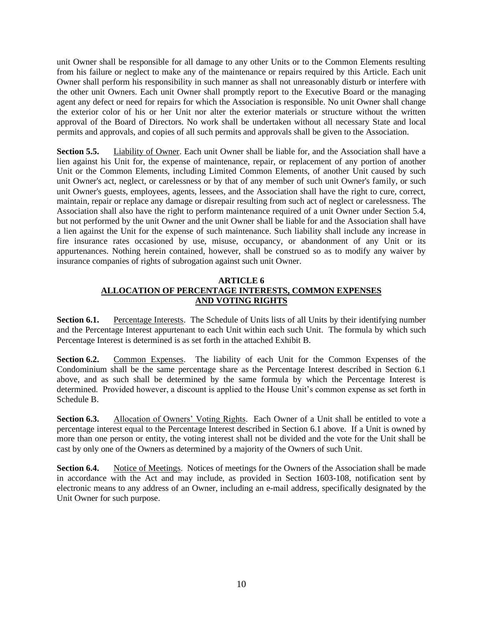unit Owner shall be responsible for all damage to any other Units or to the Common Elements resulting from his failure or neglect to make any of the maintenance or repairs required by this Article. Each unit Owner shall perform his responsibility in such manner as shall not unreasonably disturb or interfere with the other unit Owners. Each unit Owner shall promptly report to the Executive Board or the managing agent any defect or need for repairs for which the Association is responsible. No unit Owner shall change the exterior color of his or her Unit nor alter the exterior materials or structure without the written approval of the Board of Directors. No work shall be undertaken without all necessary State and local permits and approvals, and copies of all such permits and approvals shall be given to the Association.

**Section 5.5.** Liability of Owner. Each unit Owner shall be liable for, and the Association shall have a lien against his Unit for, the expense of maintenance, repair, or replacement of any portion of another Unit or the Common Elements, including Limited Common Elements, of another Unit caused by such unit Owner's act, neglect, or carelessness or by that of any member of such unit Owner's family, or such unit Owner's guests, employees, agents, lessees, and the Association shall have the right to cure, correct, maintain, repair or replace any damage or disrepair resulting from such act of neglect or carelessness. The Association shall also have the right to perform maintenance required of a unit Owner under Section 5.4, but not performed by the unit Owner and the unit Owner shall be liable for and the Association shall have a lien against the Unit for the expense of such maintenance. Such liability shall include any increase in fire insurance rates occasioned by use, misuse, occupancy, or abandonment of any Unit or its appurtenances. Nothing herein contained, however, shall be construed so as to modify any waiver by insurance companies of rights of subrogation against such unit Owner.

# **ARTICLE 6 ALLOCATION OF PERCENTAGE INTERESTS, COMMON EXPENSES AND VOTING RIGHTS**

**Section 6.1.** Percentage Interests. The Schedule of Units lists of all Units by their identifying number and the Percentage Interest appurtenant to each Unit within each such Unit. The formula by which such Percentage Interest is determined is as set forth in the attached Exhibit B.

**Section 6.2.** Common Expenses. The liability of each Unit for the Common Expenses of the Condominium shall be the same percentage share as the Percentage Interest described in Section 6.1 above, and as such shall be determined by the same formula by which the Percentage Interest is determined. Provided however, a discount is applied to the House Unit's common expense as set forth in Schedule B.

Section 6.3. Allocation of Owners' Voting Rights. Each Owner of a Unit shall be entitled to vote a percentage interest equal to the Percentage Interest described in Section 6.1 above. If a Unit is owned by more than one person or entity, the voting interest shall not be divided and the vote for the Unit shall be cast by only one of the Owners as determined by a majority of the Owners of such Unit.

**Section 6.4.** Notice of Meetings. Notices of meetings for the Owners of the Association shall be made in accordance with the Act and may include, as provided in Section 1603-108, notification sent by electronic means to any address of an Owner, including an e-mail address, specifically designated by the Unit Owner for such purpose.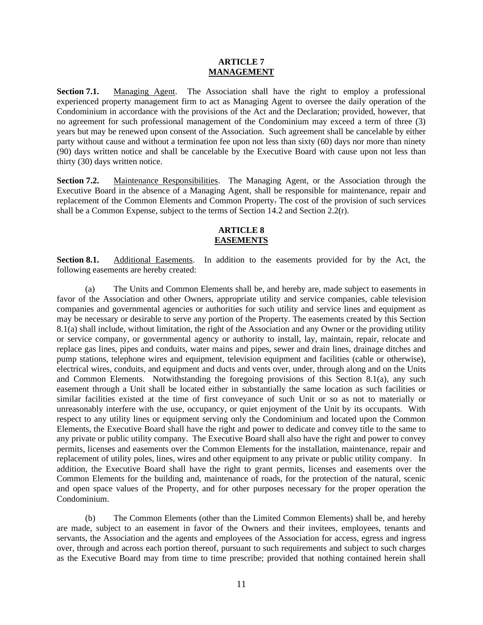#### **ARTICLE 7 MANAGEMENT**

Section 7.1. Managing Agent. The Association shall have the right to employ a professional experienced property management firm to act as Managing Agent to oversee the daily operation of the Condominium in accordance with the provisions of the Act and the Declaration; provided, however, that no agreement for such professional management of the Condominium may exceed a term of three (3) years but may be renewed upon consent of the Association. Such agreement shall be cancelable by either party without cause and without a termination fee upon not less than sixty (60) days nor more than ninety (90) days written notice and shall be cancelable by the Executive Board with cause upon not less than thirty (30) days written notice.

**Section 7.2.** Maintenance Responsibilities. The Managing Agent, or the Association through the Executive Board in the absence of a Managing Agent, shall be responsible for maintenance, repair and replacement of the Common Elements and Common Property. The cost of the provision of such services shall be a Common Expense, subject to the terms of Section 14.2 and Section 2.2(r).

# **ARTICLE 8 EASEMENTS**

Section 8.1. Additional Easements. In addition to the easements provided for by the Act, the following easements are hereby created:

(a) The Units and Common Elements shall be, and hereby are, made subject to easements in favor of the Association and other Owners, appropriate utility and service companies, cable television companies and governmental agencies or authorities for such utility and service lines and equipment as may be necessary or desirable to serve any portion of the Property. The easements created by this Section 8.1(a) shall include, without limitation, the right of the Association and any Owner or the providing utility or service company, or governmental agency or authority to install, lay, maintain, repair, relocate and replace gas lines, pipes and conduits, water mains and pipes, sewer and drain lines, drainage ditches and pump stations, telephone wires and equipment, television equipment and facilities (cable or otherwise), electrical wires, conduits, and equipment and ducts and vents over, under, through along and on the Units and Common Elements. Notwithstanding the foregoing provisions of this Section 8.1(a), any such easement through a Unit shall be located either in substantially the same location as such facilities or similar facilities existed at the time of first conveyance of such Unit or so as not to materially or unreasonably interfere with the use, occupancy, or quiet enjoyment of the Unit by its occupants. With respect to any utility lines or equipment serving only the Condominium and located upon the Common Elements, the Executive Board shall have the right and power to dedicate and convey title to the same to any private or public utility company. The Executive Board shall also have the right and power to convey permits, licenses and easements over the Common Elements for the installation, maintenance, repair and replacement of utility poles, lines, wires and other equipment to any private or public utility company. In addition, the Executive Board shall have the right to grant permits, licenses and easements over the Common Elements for the building and, maintenance of roads, for the protection of the natural, scenic and open space values of the Property, and for other purposes necessary for the proper operation the Condominium.

(b) The Common Elements (other than the Limited Common Elements) shall be, and hereby are made, subject to an easement in favor of the Owners and their invitees, employees, tenants and servants, the Association and the agents and employees of the Association for access, egress and ingress over, through and across each portion thereof, pursuant to such requirements and subject to such charges as the Executive Board may from time to time prescribe; provided that nothing contained herein shall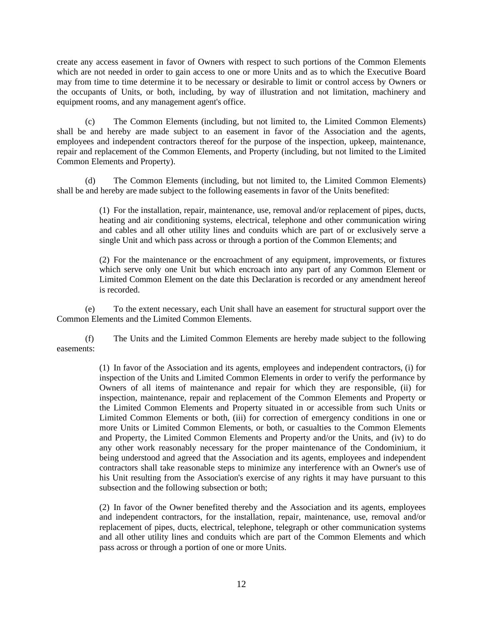create any access easement in favor of Owners with respect to such portions of the Common Elements which are not needed in order to gain access to one or more Units and as to which the Executive Board may from time to time determine it to be necessary or desirable to limit or control access by Owners or the occupants of Units, or both, including, by way of illustration and not limitation, machinery and equipment rooms, and any management agent's office.

(c) The Common Elements (including, but not limited to, the Limited Common Elements) shall be and hereby are made subject to an easement in favor of the Association and the agents, employees and independent contractors thereof for the purpose of the inspection, upkeep, maintenance, repair and replacement of the Common Elements, and Property (including, but not limited to the Limited Common Elements and Property).

(d) The Common Elements (including, but not limited to, the Limited Common Elements) shall be and hereby are made subject to the following easements in favor of the Units benefited:

> (1) For the installation, repair, maintenance, use, removal and/or replacement of pipes, ducts, heating and air conditioning systems, electrical, telephone and other communication wiring and cables and all other utility lines and conduits which are part of or exclusively serve a single Unit and which pass across or through a portion of the Common Elements; and

> (2) For the maintenance or the encroachment of any equipment, improvements, or fixtures which serve only one Unit but which encroach into any part of any Common Element or Limited Common Element on the date this Declaration is recorded or any amendment hereof is recorded.

(e) To the extent necessary, each Unit shall have an easement for structural support over the Common Elements and the Limited Common Elements.

(f) The Units and the Limited Common Elements are hereby made subject to the following easements:

> (1) In favor of the Association and its agents, employees and independent contractors, (i) for inspection of the Units and Limited Common Elements in order to verify the performance by Owners of all items of maintenance and repair for which they are responsible, (ii) for inspection, maintenance, repair and replacement of the Common Elements and Property or the Limited Common Elements and Property situated in or accessible from such Units or Limited Common Elements or both, (iii) for correction of emergency conditions in one or more Units or Limited Common Elements, or both, or casualties to the Common Elements and Property, the Limited Common Elements and Property and/or the Units, and (iv) to do any other work reasonably necessary for the proper maintenance of the Condominium, it being understood and agreed that the Association and its agents, employees and independent contractors shall take reasonable steps to minimize any interference with an Owner's use of his Unit resulting from the Association's exercise of any rights it may have pursuant to this subsection and the following subsection or both;

> (2) In favor of the Owner benefited thereby and the Association and its agents, employees and independent contractors, for the installation, repair, maintenance, use, removal and/or replacement of pipes, ducts, electrical, telephone, telegraph or other communication systems and all other utility lines and conduits which are part of the Common Elements and which pass across or through a portion of one or more Units.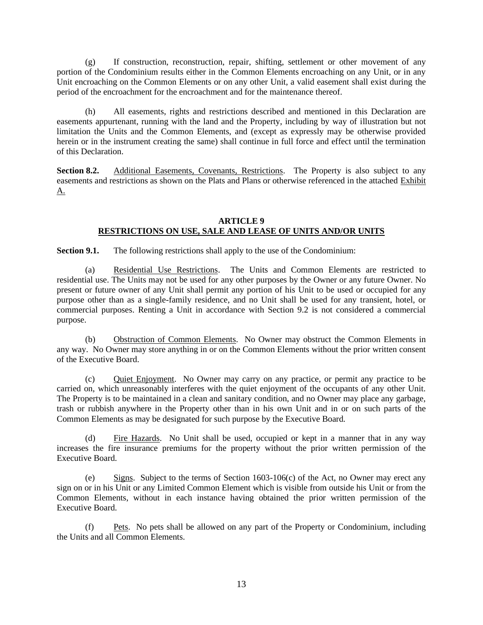(g) If construction, reconstruction, repair, shifting, settlement or other movement of any portion of the Condominium results either in the Common Elements encroaching on any Unit, or in any Unit encroaching on the Common Elements or on any other Unit, a valid easement shall exist during the period of the encroachment for the encroachment and for the maintenance thereof.

(h) All easements, rights and restrictions described and mentioned in this Declaration are easements appurtenant, running with the land and the Property, including by way of illustration but not limitation the Units and the Common Elements, and (except as expressly may be otherwise provided herein or in the instrument creating the same) shall continue in full force and effect until the termination of this Declaration.

Section 8.2. Additional Easements, Covenants, Restrictions. The Property is also subject to any easements and restrictions as shown on the Plats and Plans or otherwise referenced in the attached Exhibit A.

#### **ARTICLE 9 RESTRICTIONS ON USE, SALE AND LEASE OF UNITS AND/OR UNITS**

**Section 9.1.** The following restrictions shall apply to the use of the Condominium:

(a) Residential Use Restrictions. The Units and Common Elements are restricted to residential use. The Units may not be used for any other purposes by the Owner or any future Owner. No present or future owner of any Unit shall permit any portion of his Unit to be used or occupied for any purpose other than as a single-family residence, and no Unit shall be used for any transient, hotel, or commercial purposes. Renting a Unit in accordance with Section 9.2 is not considered a commercial purpose.

(b) Obstruction of Common Elements. No Owner may obstruct the Common Elements in any way. No Owner may store anything in or on the Common Elements without the prior written consent of the Executive Board.

(c) Quiet Enjoyment. No Owner may carry on any practice, or permit any practice to be carried on, which unreasonably interferes with the quiet enjoyment of the occupants of any other Unit. The Property is to be maintained in a clean and sanitary condition, and no Owner may place any garbage, trash or rubbish anywhere in the Property other than in his own Unit and in or on such parts of the Common Elements as may be designated for such purpose by the Executive Board.

(d) Fire Hazards. No Unit shall be used, occupied or kept in a manner that in any way increases the fire insurance premiums for the property without the prior written permission of the Executive Board.

(e) Signs. Subject to the terms of Section 1603-106(c) of the Act, no Owner may erect any sign on or in his Unit or any Limited Common Element which is visible from outside his Unit or from the Common Elements, without in each instance having obtained the prior written permission of the Executive Board.

(f) Pets. No pets shall be allowed on any part of the Property or Condominium, including the Units and all Common Elements.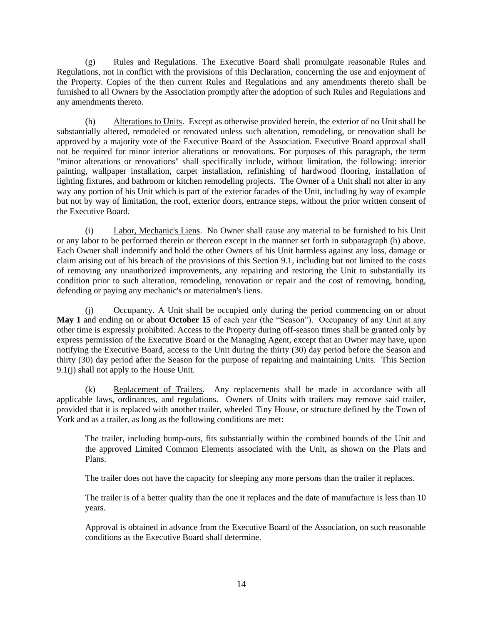(g) Rules and Regulations. The Executive Board shall promulgate reasonable Rules and Regulations, not in conflict with the provisions of this Declaration, concerning the use and enjoyment of the Property. Copies of the then current Rules and Regulations and any amendments thereto shall be furnished to all Owners by the Association promptly after the adoption of such Rules and Regulations and any amendments thereto.

(h) Alterations to Units. Except as otherwise provided herein, the exterior of no Unit shall be substantially altered, remodeled or renovated unless such alteration, remodeling, or renovation shall be approved by a majority vote of the Executive Board of the Association. Executive Board approval shall not be required for minor interior alterations or renovations. For purposes of this paragraph, the term "minor alterations or renovations" shall specifically include, without limitation, the following: interior painting, wallpaper installation, carpet installation, refinishing of hardwood flooring, installation of lighting fixtures, and bathroom or kitchen remodeling projects. The Owner of a Unit shall not alter in any way any portion of his Unit which is part of the exterior facades of the Unit, including by way of example but not by way of limitation, the roof, exterior doors, entrance steps, without the prior written consent of the Executive Board.

(i) Labor, Mechanic's Liens. No Owner shall cause any material to be furnished to his Unit or any labor to be performed therein or thereon except in the manner set forth in subparagraph (h) above. Each Owner shall indemnify and hold the other Owners of his Unit harmless against any loss, damage or claim arising out of his breach of the provisions of this Section 9.1, including but not limited to the costs of removing any unauthorized improvements, any repairing and restoring the Unit to substantially its condition prior to such alteration, remodeling, renovation or repair and the cost of removing, bonding, defending or paying any mechanic's or materialmen's liens.

(j) Occupancy. A Unit shall be occupied only during the period commencing on or about **May 1** and ending on or about **October 15** of each year (the "Season"). Occupancy of any Unit at any other time is expressly prohibited. Access to the Property during off-season times shall be granted only by express permission of the Executive Board or the Managing Agent, except that an Owner may have, upon notifying the Executive Board, access to the Unit during the thirty (30) day period before the Season and thirty (30) day period after the Season for the purpose of repairing and maintaining Units. This Section 9.1(j) shall not apply to the House Unit.

(k) Replacement of Trailers. Any replacements shall be made in accordance with all applicable laws, ordinances, and regulations. Owners of Units with trailers may remove said trailer, provided that it is replaced with another trailer, wheeled Tiny House, or structure defined by the Town of York and as a trailer, as long as the following conditions are met:

The trailer, including bump-outs, fits substantially within the combined bounds of the Unit and the approved Limited Common Elements associated with the Unit, as shown on the Plats and Plans.

The trailer does not have the capacity for sleeping any more persons than the trailer it replaces.

The trailer is of a better quality than the one it replaces and the date of manufacture is less than 10 years.

Approval is obtained in advance from the Executive Board of the Association, on such reasonable conditions as the Executive Board shall determine.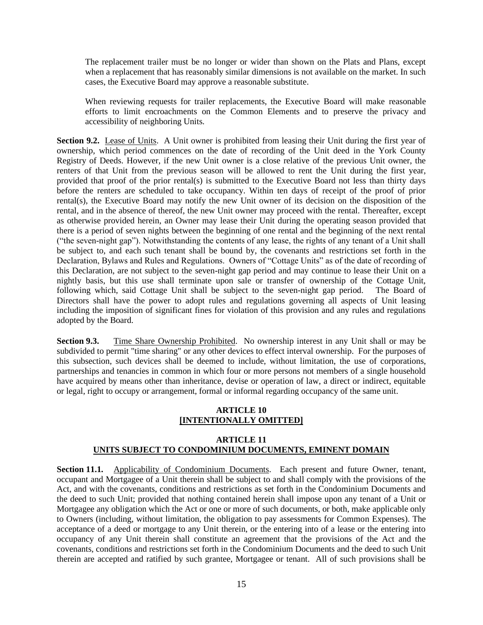The replacement trailer must be no longer or wider than shown on the Plats and Plans, except when a replacement that has reasonably similar dimensions is not available on the market. In such cases, the Executive Board may approve a reasonable substitute.

When reviewing requests for trailer replacements, the Executive Board will make reasonable efforts to limit encroachments on the Common Elements and to preserve the privacy and accessibility of neighboring Units.

**Section 9.2.** Lease of Units. A Unit owner is prohibited from leasing their Unit during the first year of ownership, which period commences on the date of recording of the Unit deed in the York County Registry of Deeds. However, if the new Unit owner is a close relative of the previous Unit owner, the renters of that Unit from the previous season will be allowed to rent the Unit during the first year, provided that proof of the prior rental(s) is submitted to the Executive Board not less than thirty days before the renters are scheduled to take occupancy. Within ten days of receipt of the proof of prior rental(s), the Executive Board may notify the new Unit owner of its decision on the disposition of the rental, and in the absence of thereof, the new Unit owner may proceed with the rental. Thereafter, except as otherwise provided herein, an Owner may lease their Unit during the operating season provided that there is a period of seven nights between the beginning of one rental and the beginning of the next rental ("the seven-night gap"). Notwithstanding the contents of any lease, the rights of any tenant of a Unit shall be subject to, and each such tenant shall be bound by, the covenants and restrictions set forth in the Declaration, Bylaws and Rules and Regulations. Owners of "Cottage Units" as of the date of recording of this Declaration, are not subject to the seven-night gap period and may continue to lease their Unit on a nightly basis, but this use shall terminate upon sale or transfer of ownership of the Cottage Unit, following which, said Cottage Unit shall be subject to the seven-night gap period. The Board of Directors shall have the power to adopt rules and regulations governing all aspects of Unit leasing including the imposition of significant fines for violation of this provision and any rules and regulations adopted by the Board.

**Section 9.3.** Time Share Ownership Prohibited. No ownership interest in any Unit shall or may be subdivided to permit "time sharing" or any other devices to effect interval ownership. For the purposes of this subsection, such devices shall be deemed to include, without limitation, the use of corporations, partnerships and tenancies in common in which four or more persons not members of a single household have acquired by means other than inheritance, devise or operation of law, a direct or indirect, equitable or legal, right to occupy or arrangement, formal or informal regarding occupancy of the same unit.

# **ARTICLE 10 [INTENTIONALLY OMITTED]**

# **ARTICLE 11 UNITS SUBJECT TO CONDOMINIUM DOCUMENTS, EMINENT DOMAIN**

**Section 11.1.** Applicability of Condominium Documents. Each present and future Owner, tenant, occupant and Mortgagee of a Unit therein shall be subject to and shall comply with the provisions of the Act, and with the covenants, conditions and restrictions as set forth in the Condominium Documents and the deed to such Unit; provided that nothing contained herein shall impose upon any tenant of a Unit or Mortgagee any obligation which the Act or one or more of such documents, or both, make applicable only to Owners (including, without limitation, the obligation to pay assessments for Common Expenses). The acceptance of a deed or mortgage to any Unit therein, or the entering into of a lease or the entering into occupancy of any Unit therein shall constitute an agreement that the provisions of the Act and the covenants, conditions and restrictions set forth in the Condominium Documents and the deed to such Unit therein are accepted and ratified by such grantee, Mortgagee or tenant. All of such provisions shall be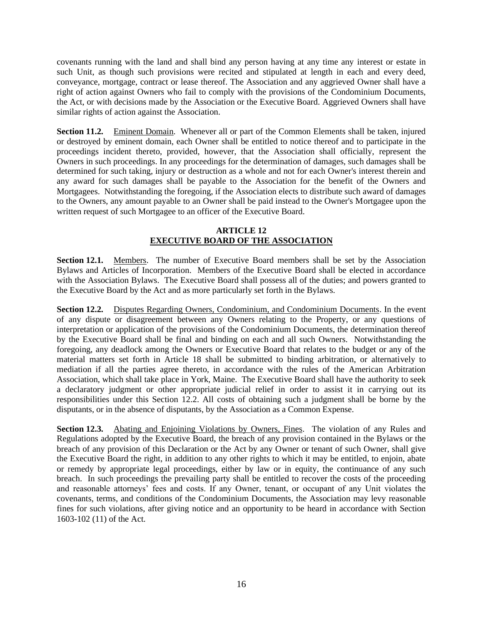covenants running with the land and shall bind any person having at any time any interest or estate in such Unit, as though such provisions were recited and stipulated at length in each and every deed, conveyance, mortgage, contract or lease thereof. The Association and any aggrieved Owner shall have a right of action against Owners who fail to comply with the provisions of the Condominium Documents, the Act, or with decisions made by the Association or the Executive Board. Aggrieved Owners shall have similar rights of action against the Association.

**Section 11.2.** Eminent Domain. Whenever all or part of the Common Elements shall be taken, injured or destroyed by eminent domain, each Owner shall be entitled to notice thereof and to participate in the proceedings incident thereto, provided, however, that the Association shall officially, represent the Owners in such proceedings. In any proceedings for the determination of damages, such damages shall be determined for such taking, injury or destruction as a whole and not for each Owner's interest therein and any award for such damages shall be payable to the Association for the benefit of the Owners and Mortgagees. Notwithstanding the foregoing, if the Association elects to distribute such award of damages to the Owners, any amount payable to an Owner shall be paid instead to the Owner's Mortgagee upon the written request of such Mortgagee to an officer of the Executive Board.

# **ARTICLE 12 EXECUTIVE BOARD OF THE ASSOCIATION**

**Section 12.1.** Members. The number of Executive Board members shall be set by the Association Bylaws and Articles of Incorporation. Members of the Executive Board shall be elected in accordance with the Association Bylaws. The Executive Board shall possess all of the duties; and powers granted to the Executive Board by the Act and as more particularly set forth in the Bylaws.

**Section 12.2.** Disputes Regarding Owners, Condominium, and Condominium Documents. In the event of any dispute or disagreement between any Owners relating to the Property, or any questions of interpretation or application of the provisions of the Condominium Documents, the determination thereof by the Executive Board shall be final and binding on each and all such Owners. Notwithstanding the foregoing, any deadlock among the Owners or Executive Board that relates to the budget or any of the material matters set forth in Article 18 shall be submitted to binding arbitration, or alternatively to mediation if all the parties agree thereto, in accordance with the rules of the American Arbitration Association, which shall take place in York, Maine. The Executive Board shall have the authority to seek a declaratory judgment or other appropriate judicial relief in order to assist it in carrying out its responsibilities under this Section 12.2. All costs of obtaining such a judgment shall be borne by the disputants, or in the absence of disputants, by the Association as a Common Expense.

**Section 12.3.** Abating and Enjoining Violations by Owners, Fines. The violation of any Rules and Regulations adopted by the Executive Board, the breach of any provision contained in the Bylaws or the breach of any provision of this Declaration or the Act by any Owner or tenant of such Owner, shall give the Executive Board the right, in addition to any other rights to which it may be entitled, to enjoin, abate or remedy by appropriate legal proceedings, either by law or in equity, the continuance of any such breach. In such proceedings the prevailing party shall be entitled to recover the costs of the proceeding and reasonable attorneys' fees and costs. If any Owner, tenant, or occupant of any Unit violates the covenants, terms, and conditions of the Condominium Documents, the Association may levy reasonable fines for such violations, after giving notice and an opportunity to be heard in accordance with Section 1603-102 (11) of the Act.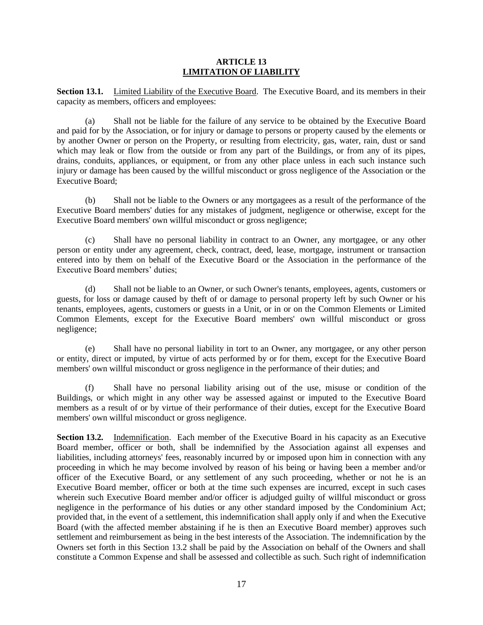### **ARTICLE 13 LIMITATION OF LIABILITY**

**Section 13.1.** Limited Liability of the Executive Board. The Executive Board, and its members in their capacity as members, officers and employees:

(a) Shall not be liable for the failure of any service to be obtained by the Executive Board and paid for by the Association, or for injury or damage to persons or property caused by the elements or by another Owner or person on the Property, or resulting from electricity, gas, water, rain, dust or sand which may leak or flow from the outside or from any part of the Buildings, or from any of its pipes, drains, conduits, appliances, or equipment, or from any other place unless in each such instance such injury or damage has been caused by the willful misconduct or gross negligence of the Association or the Executive Board;

(b) Shall not be liable to the Owners or any mortgagees as a result of the performance of the Executive Board members' duties for any mistakes of judgment, negligence or otherwise, except for the Executive Board members' own willful misconduct or gross negligence;

(c) Shall have no personal liability in contract to an Owner, any mortgagee, or any other person or entity under any agreement, check, contract, deed, lease, mortgage, instrument or transaction entered into by them on behalf of the Executive Board or the Association in the performance of the Executive Board members' duties;

(d) Shall not be liable to an Owner, or such Owner's tenants, employees, agents, customers or guests, for loss or damage caused by theft of or damage to personal property left by such Owner or his tenants, employees, agents, customers or guests in a Unit, or in or on the Common Elements or Limited Common Elements, except for the Executive Board members' own willful misconduct or gross negligence;

(e) Shall have no personal liability in tort to an Owner, any mortgagee, or any other person or entity, direct or imputed, by virtue of acts performed by or for them, except for the Executive Board members' own willful misconduct or gross negligence in the performance of their duties; and

(f) Shall have no personal liability arising out of the use, misuse or condition of the Buildings, or which might in any other way be assessed against or imputed to the Executive Board members as a result of or by virtue of their performance of their duties, except for the Executive Board members' own willful misconduct or gross negligence.

**Section 13.2.** Indemnification. Each member of the Executive Board in his capacity as an Executive Board member, officer or both, shall be indemnified by the Association against all expenses and liabilities, including attorneys' fees, reasonably incurred by or imposed upon him in connection with any proceeding in which he may become involved by reason of his being or having been a member and/or officer of the Executive Board, or any settlement of any such proceeding, whether or not he is an Executive Board member, officer or both at the time such expenses are incurred, except in such cases wherein such Executive Board member and/or officer is adjudged guilty of willful misconduct or gross negligence in the performance of his duties or any other standard imposed by the Condominium Act; provided that, in the event of a settlement, this indemnification shall apply only if and when the Executive Board (with the affected member abstaining if he is then an Executive Board member) approves such settlement and reimbursement as being in the best interests of the Association. The indemnification by the Owners set forth in this Section 13.2 shall be paid by the Association on behalf of the Owners and shall constitute a Common Expense and shall be assessed and collectible as such. Such right of indemnification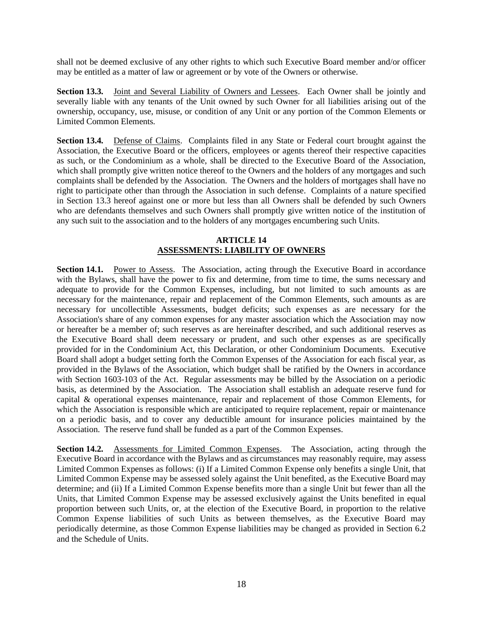shall not be deemed exclusive of any other rights to which such Executive Board member and/or officer may be entitled as a matter of law or agreement or by vote of the Owners or otherwise.

Section 13.3. Joint and Several Liability of Owners and Lessees. Each Owner shall be jointly and severally liable with any tenants of the Unit owned by such Owner for all liabilities arising out of the ownership, occupancy, use, misuse, or condition of any Unit or any portion of the Common Elements or Limited Common Elements.

**Section 13.4.** Defense of Claims. Complaints filed in any State or Federal court brought against the Association, the Executive Board or the officers, employees or agents thereof their respective capacities as such, or the Condominium as a whole, shall be directed to the Executive Board of the Association, which shall promptly give written notice thereof to the Owners and the holders of any mortgages and such complaints shall be defended by the Association. The Owners and the holders of mortgages shall have no right to participate other than through the Association in such defense. Complaints of a nature specified in Section 13.3 hereof against one or more but less than all Owners shall be defended by such Owners who are defendants themselves and such Owners shall promptly give written notice of the institution of any such suit to the association and to the holders of any mortgages encumbering such Units.

### **ARTICLE 14 ASSESSMENTS: LIABILITY OF OWNERS**

**Section 14.1.** Power to Assess. The Association, acting through the Executive Board in accordance with the Bylaws, shall have the power to fix and determine, from time to time, the sums necessary and adequate to provide for the Common Expenses, including, but not limited to such amounts as are necessary for the maintenance, repair and replacement of the Common Elements, such amounts as are necessary for uncollectible Assessments, budget deficits; such expenses as are necessary for the Association's share of any common expenses for any master association which the Association may now or hereafter be a member of; such reserves as are hereinafter described, and such additional reserves as the Executive Board shall deem necessary or prudent, and such other expenses as are specifically provided for in the Condominium Act, this Declaration, or other Condominium Documents. Executive Board shall adopt a budget setting forth the Common Expenses of the Association for each fiscal year, as provided in the Bylaws of the Association, which budget shall be ratified by the Owners in accordance with Section 1603-103 of the Act. Regular assessments may be billed by the Association on a periodic basis, as determined by the Association. The Association shall establish an adequate reserve fund for capital & operational expenses maintenance, repair and replacement of those Common Elements, for which the Association is responsible which are anticipated to require replacement, repair or maintenance on a periodic basis, and to cover any deductible amount for insurance policies maintained by the Association. The reserve fund shall be funded as a part of the Common Expenses.

**Section 14.2.** Assessments for Limited Common Expenses. The Association, acting through the Executive Board in accordance with the Bylaws and as circumstances may reasonably require, may assess Limited Common Expenses as follows: (i) If a Limited Common Expense only benefits a single Unit, that Limited Common Expense may be assessed solely against the Unit benefited, as the Executive Board may determine; and (ii) If a Limited Common Expense benefits more than a single Unit but fewer than all the Units, that Limited Common Expense may be assessed exclusively against the Units benefited in equal proportion between such Units, or, at the election of the Executive Board, in proportion to the relative Common Expense liabilities of such Units as between themselves, as the Executive Board may periodically determine, as those Common Expense liabilities may be changed as provided in Section 6.2 and the Schedule of Units.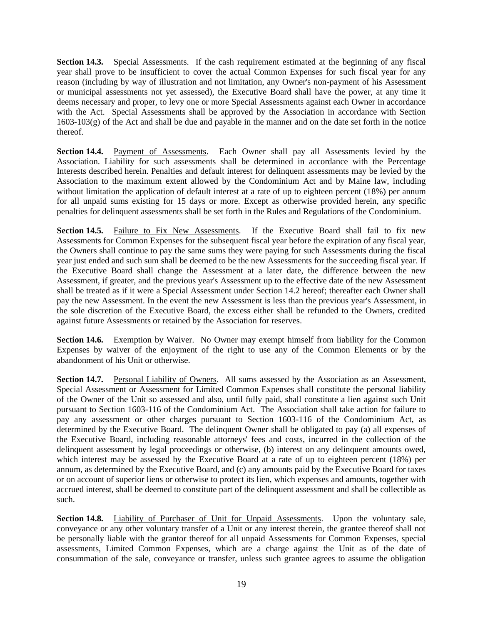**Section 14.3.** Special Assessments. If the cash requirement estimated at the beginning of any fiscal year shall prove to be insufficient to cover the actual Common Expenses for such fiscal year for any reason (including by way of illustration and not limitation, any Owner's non-payment of his Assessment or municipal assessments not yet assessed), the Executive Board shall have the power, at any time it deems necessary and proper, to levy one or more Special Assessments against each Owner in accordance with the Act. Special Assessments shall be approved by the Association in accordance with Section 1603-103(g) of the Act and shall be due and payable in the manner and on the date set forth in the notice thereof.

**Section 14.4.** Payment of Assessments. Each Owner shall pay all Assessments levied by the Association. Liability for such assessments shall be determined in accordance with the Percentage Interests described herein. Penalties and default interest for delinquent assessments may be levied by the Association to the maximum extent allowed by the Condominium Act and by Maine law, including without limitation the application of default interest at a rate of up to eighteen percent (18%) per annum for all unpaid sums existing for 15 days or more. Except as otherwise provided herein, any specific penalties for delinquent assessments shall be set forth in the Rules and Regulations of the Condominium.

**Section 14.5.** Failure to Fix New Assessments. If the Executive Board shall fail to fix new Assessments for Common Expenses for the subsequent fiscal year before the expiration of any fiscal year, the Owners shall continue to pay the same sums they were paying for such Assessments during the fiscal year just ended and such sum shall be deemed to be the new Assessments for the succeeding fiscal year. If the Executive Board shall change the Assessment at a later date, the difference between the new Assessment, if greater, and the previous year's Assessment up to the effective date of the new Assessment shall be treated as if it were a Special Assessment under Section 14.2 hereof; thereafter each Owner shall pay the new Assessment. In the event the new Assessment is less than the previous year's Assessment, in the sole discretion of the Executive Board, the excess either shall be refunded to the Owners, credited against future Assessments or retained by the Association for reserves.

**Section 14.6.** Exemption by Waiver. No Owner may exempt himself from liability for the Common Expenses by waiver of the enjoyment of the right to use any of the Common Elements or by the abandonment of his Unit or otherwise.

Section 14.7. Personal Liability of Owners. All sums assessed by the Association as an Assessment, Special Assessment or Assessment for Limited Common Expenses shall constitute the personal liability of the Owner of the Unit so assessed and also, until fully paid, shall constitute a lien against such Unit pursuant to Section 1603-116 of the Condominium Act. The Association shall take action for failure to pay any assessment or other charges pursuant to Section 1603-116 of the Condominium Act, as determined by the Executive Board. The delinquent Owner shall be obligated to pay (a) all expenses of the Executive Board, including reasonable attorneys' fees and costs, incurred in the collection of the delinquent assessment by legal proceedings or otherwise, (b) interest on any delinquent amounts owed, which interest may be assessed by the Executive Board at a rate of up to eighteen percent (18%) per annum, as determined by the Executive Board, and (c) any amounts paid by the Executive Board for taxes or on account of superior liens or otherwise to protect its lien, which expenses and amounts, together with accrued interest, shall be deemed to constitute part of the delinquent assessment and shall be collectible as such.

**Section 14.8.** Liability of Purchaser of Unit for Unpaid Assessments. Upon the voluntary sale, conveyance or any other voluntary transfer of a Unit or any interest therein, the grantee thereof shall not be personally liable with the grantor thereof for all unpaid Assessments for Common Expenses, special assessments, Limited Common Expenses, which are a charge against the Unit as of the date of consummation of the sale, conveyance or transfer, unless such grantee agrees to assume the obligation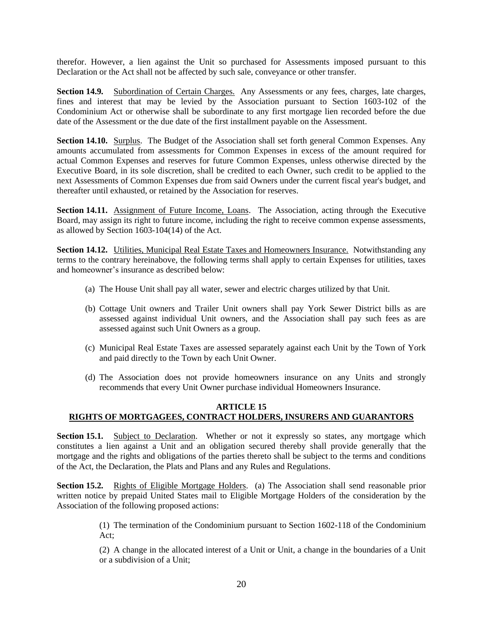therefor. However, a lien against the Unit so purchased for Assessments imposed pursuant to this Declaration or the Act shall not be affected by such sale, conveyance or other transfer.

Section 14.9. Subordination of Certain Charges. Any Assessments or any fees, charges, late charges, fines and interest that may be levied by the Association pursuant to Section 1603-102 of the Condominium Act or otherwise shall be subordinate to any first mortgage lien recorded before the due date of the Assessment or the due date of the first installment payable on the Assessment.

**Section 14.10.** Surplus. The Budget of the Association shall set forth general Common Expenses. Any amounts accumulated from assessments for Common Expenses in excess of the amount required for actual Common Expenses and reserves for future Common Expenses, unless otherwise directed by the Executive Board, in its sole discretion, shall be credited to each Owner, such credit to be applied to the next Assessments of Common Expenses due from said Owners under the current fiscal year's budget, and thereafter until exhausted, or retained by the Association for reserves.

**Section 14.11.** Assignment of Future Income, Loans. The Association, acting through the Executive Board, may assign its right to future income, including the right to receive common expense assessments, as allowed by Section 1603-104(14) of the Act.

**Section 14.12.** Utilities, Municipal Real Estate Taxes and Homeowners Insurance. Notwithstanding any terms to the contrary hereinabove, the following terms shall apply to certain Expenses for utilities, taxes and homeowner's insurance as described below:

- (a) The House Unit shall pay all water, sewer and electric charges utilized by that Unit.
- (b) Cottage Unit owners and Trailer Unit owners shall pay York Sewer District bills as are assessed against individual Unit owners, and the Association shall pay such fees as are assessed against such Unit Owners as a group.
- (c) Municipal Real Estate Taxes are assessed separately against each Unit by the Town of York and paid directly to the Town by each Unit Owner.
- (d) The Association does not provide homeowners insurance on any Units and strongly recommends that every Unit Owner purchase individual Homeowners Insurance.

### **ARTICLE 15 RIGHTS OF MORTGAGEES, CONTRACT HOLDERS, INSURERS AND GUARANTORS**

Section 15.1. Subject to Declaration. Whether or not it expressly so states, any mortgage which constitutes a lien against a Unit and an obligation secured thereby shall provide generally that the mortgage and the rights and obligations of the parties thereto shall be subject to the terms and conditions of the Act, the Declaration, the Plats and Plans and any Rules and Regulations.

Section 15.2. Rights of Eligible Mortgage Holders. (a) The Association shall send reasonable prior written notice by prepaid United States mail to Eligible Mortgage Holders of the consideration by the Association of the following proposed actions:

> (1) The termination of the Condominium pursuant to Section 1602-118 of the Condominium Act;

> (2) A change in the allocated interest of a Unit or Unit, a change in the boundaries of a Unit or a subdivision of a Unit;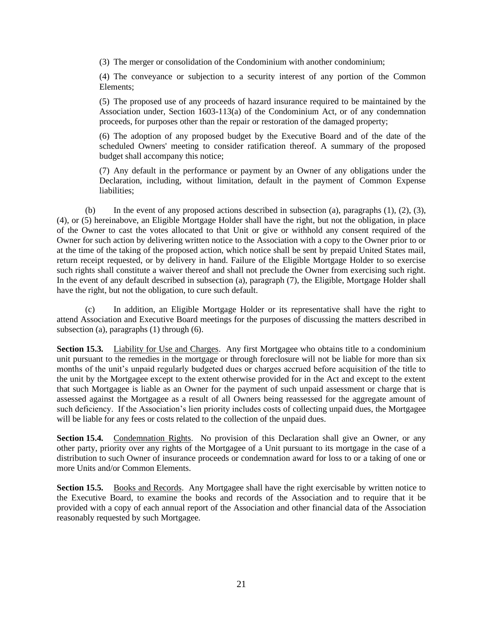(3) The merger or consolidation of the Condominium with another condominium;

(4) The conveyance or subjection to a security interest of any portion of the Common Elements;

(5) The proposed use of any proceeds of hazard insurance required to be maintained by the Association under, Section 1603-113(a) of the Condominium Act, or of any condemnation proceeds, for purposes other than the repair or restoration of the damaged property;

(6) The adoption of any proposed budget by the Executive Board and of the date of the scheduled Owners' meeting to consider ratification thereof. A summary of the proposed budget shall accompany this notice;

(7) Any default in the performance or payment by an Owner of any obligations under the Declaration, including, without limitation, default in the payment of Common Expense liabilities;

(b) In the event of any proposed actions described in subsection (a), paragraphs  $(1)$ ,  $(2)$ ,  $(3)$ , (4), or (5) hereinabove, an Eligible Mortgage Holder shall have the right, but not the obligation, in place of the Owner to cast the votes allocated to that Unit or give or withhold any consent required of the Owner for such action by delivering written notice to the Association with a copy to the Owner prior to or at the time of the taking of the proposed action, which notice shall be sent by prepaid United States mail, return receipt requested, or by delivery in hand. Failure of the Eligible Mortgage Holder to so exercise such rights shall constitute a waiver thereof and shall not preclude the Owner from exercising such right. In the event of any default described in subsection (a), paragraph (7), the Eligible, Mortgage Holder shall have the right, but not the obligation, to cure such default.

(c) In addition, an Eligible Mortgage Holder or its representative shall have the right to attend Association and Executive Board meetings for the purposes of discussing the matters described in subsection (a), paragraphs (1) through (6).

**Section 15.3.** Liability for Use and Charges. Any first Mortgagee who obtains title to a condominium unit pursuant to the remedies in the mortgage or through foreclosure will not be liable for more than six months of the unit's unpaid regularly budgeted dues or charges accrued before acquisition of the title to the unit by the Mortgagee except to the extent otherwise provided for in the Act and except to the extent that such Mortgagee is liable as an Owner for the payment of such unpaid assessment or charge that is assessed against the Mortgagee as a result of all Owners being reassessed for the aggregate amount of such deficiency. If the Association's lien priority includes costs of collecting unpaid dues, the Mortgagee will be liable for any fees or costs related to the collection of the unpaid dues.

**Section 15.4.** Condemnation Rights. No provision of this Declaration shall give an Owner, or any other party, priority over any rights of the Mortgagee of a Unit pursuant to its mortgage in the case of a distribution to such Owner of insurance proceeds or condemnation award for loss to or a taking of one or more Units and/or Common Elements.

**Section 15.5.** Books and Records. Any Mortgagee shall have the right exercisable by written notice to the Executive Board, to examine the books and records of the Association and to require that it be provided with a copy of each annual report of the Association and other financial data of the Association reasonably requested by such Mortgagee.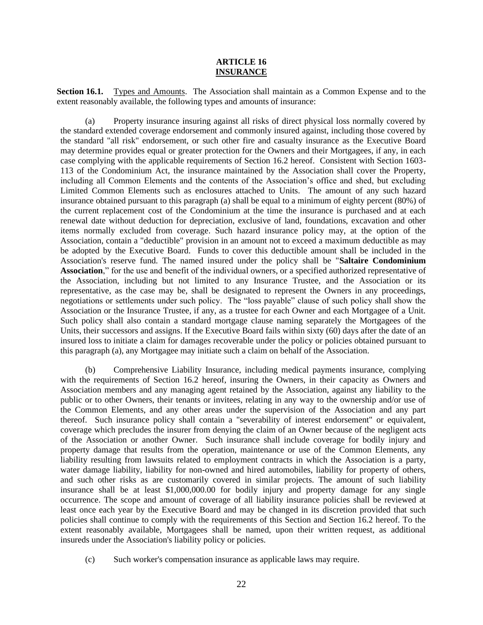#### **ARTICLE 16 INSURANCE**

**Section 16.1.** Types and Amounts. The Association shall maintain as a Common Expense and to the extent reasonably available, the following types and amounts of insurance:

(a) Property insurance insuring against all risks of direct physical loss normally covered by the standard extended coverage endorsement and commonly insured against, including those covered by the standard "all risk" endorsement, or such other fire and casualty insurance as the Executive Board may determine provides equal or greater protection for the Owners and their Mortgagees, if any, in each case complying with the applicable requirements of Section 16.2 hereof. Consistent with Section 1603- 113 of the Condominium Act, the insurance maintained by the Association shall cover the Property, including all Common Elements and the contents of the Association's office and shed, but excluding Limited Common Elements such as enclosures attached to Units. The amount of any such hazard insurance obtained pursuant to this paragraph (a) shall be equal to a minimum of eighty percent (80%) of the current replacement cost of the Condominium at the time the insurance is purchased and at each renewal date without deduction for depreciation, exclusive of land, foundations, excavation and other items normally excluded from coverage. Such hazard insurance policy may, at the option of the Association, contain a "deductible" provision in an amount not to exceed a maximum deductible as may be adopted by the Executive Board. Funds to cover this deductible amount shall be included in the Association's reserve fund. The named insured under the policy shall be "**Saltaire Condominium Association**," for the use and benefit of the individual owners, or a specified authorized representative of the Association, including but not limited to any Insurance Trustee, and the Association or its representative, as the case may be, shall be designated to represent the Owners in any proceedings, negotiations or settlements under such policy. The "loss payable" clause of such policy shall show the Association or the Insurance Trustee, if any, as a trustee for each Owner and each Mortgagee of a Unit. Such policy shall also contain a standard mortgage clause naming separately the Mortgagees of the Units, their successors and assigns. If the Executive Board fails within sixty (60) days after the date of an insured loss to initiate a claim for damages recoverable under the policy or policies obtained pursuant to this paragraph (a), any Mortgagee may initiate such a claim on behalf of the Association.

(b) Comprehensive Liability Insurance, including medical payments insurance, complying with the requirements of Section 16.2 hereof, insuring the Owners, in their capacity as Owners and Association members and any managing agent retained by the Association, against any liability to the public or to other Owners, their tenants or invitees, relating in any way to the ownership and/or use of the Common Elements, and any other areas under the supervision of the Association and any part thereof. Such insurance policy shall contain a "severability of interest endorsement" or equivalent, coverage which precludes the insurer from denying the claim of an Owner because of the negligent acts of the Association or another Owner. Such insurance shall include coverage for bodily injury and property damage that results from the operation, maintenance or use of the Common Elements, any liability resulting from lawsuits related to employment contracts in which the Association is a party, water damage liability, liability for non-owned and hired automobiles, liability for property of others, and such other risks as are customarily covered in similar projects. The amount of such liability insurance shall be at least \$1,000,000.00 for bodily injury and property damage for any single occurrence. The scope and amount of coverage of all liability insurance policies shall be reviewed at least once each year by the Executive Board and may be changed in its discretion provided that such policies shall continue to comply with the requirements of this Section and Section 16.2 hereof. To the extent reasonably available, Mortgagees shall be named, upon their written request, as additional insureds under the Association's liability policy or policies.

(c) Such worker's compensation insurance as applicable laws may require.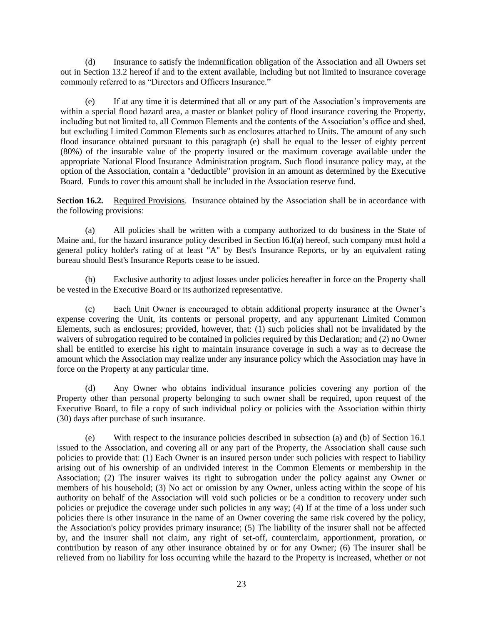(d) Insurance to satisfy the indemnification obligation of the Association and all Owners set out in Section 13.2 hereof if and to the extent available, including but not limited to insurance coverage commonly referred to as "Directors and Officers Insurance."

(e) If at any time it is determined that all or any part of the Association's improvements are within a special flood hazard area, a master or blanket policy of flood insurance covering the Property, including but not limited to, all Common Elements and the contents of the Association's office and shed, but excluding Limited Common Elements such as enclosures attached to Units. The amount of any such flood insurance obtained pursuant to this paragraph (e) shall be equal to the lesser of eighty percent (80%) of the insurable value of the property insured or the maximum coverage available under the appropriate National Flood Insurance Administration program. Such flood insurance policy may, at the option of the Association, contain a "deductible" provision in an amount as determined by the Executive Board. Funds to cover this amount shall be included in the Association reserve fund.

**Section 16.2.** Required Provisions. Insurance obtained by the Association shall be in accordance with the following provisions:

(a) All policies shall be written with a company authorized to do business in the State of Maine and, for the hazard insurance policy described in Section l6.l(a) hereof, such company must hold a general policy holder's rating of at least "A" by Best's Insurance Reports, or by an equivalent rating bureau should Best's Insurance Reports cease to be issued.

(b) Exclusive authority to adjust losses under policies hereafter in force on the Property shall be vested in the Executive Board or its authorized representative.

(c) Each Unit Owner is encouraged to obtain additional property insurance at the Owner's expense covering the Unit, its contents or personal property, and any appurtenant Limited Common Elements, such as enclosures; provided, however, that: (1) such policies shall not be invalidated by the waivers of subrogation required to be contained in policies required by this Declaration; and (2) no Owner shall be entitled to exercise his right to maintain insurance coverage in such a way as to decrease the amount which the Association may realize under any insurance policy which the Association may have in force on the Property at any particular time.

(d) Any Owner who obtains individual insurance policies covering any portion of the Property other than personal property belonging to such owner shall be required, upon request of the Executive Board, to file a copy of such individual policy or policies with the Association within thirty (30) days after purchase of such insurance.

(e) With respect to the insurance policies described in subsection (a) and (b) of Section 16.1 issued to the Association, and covering all or any part of the Property, the Association shall cause such policies to provide that: (1) Each Owner is an insured person under such policies with respect to liability arising out of his ownership of an undivided interest in the Common Elements or membership in the Association; (2) The insurer waives its right to subrogation under the policy against any Owner or members of his household; (3) No act or omission by any Owner, unless acting within the scope of his authority on behalf of the Association will void such policies or be a condition to recovery under such policies or prejudice the coverage under such policies in any way; (4) If at the time of a loss under such policies there is other insurance in the name of an Owner covering the same risk covered by the policy, the Association's policy provides primary insurance; (5) The liability of the insurer shall not be affected by, and the insurer shall not claim, any right of set-off, counterclaim, apportionment, proration, or contribution by reason of any other insurance obtained by or for any Owner; (6) The insurer shall be relieved from no liability for loss occurring while the hazard to the Property is increased, whether or not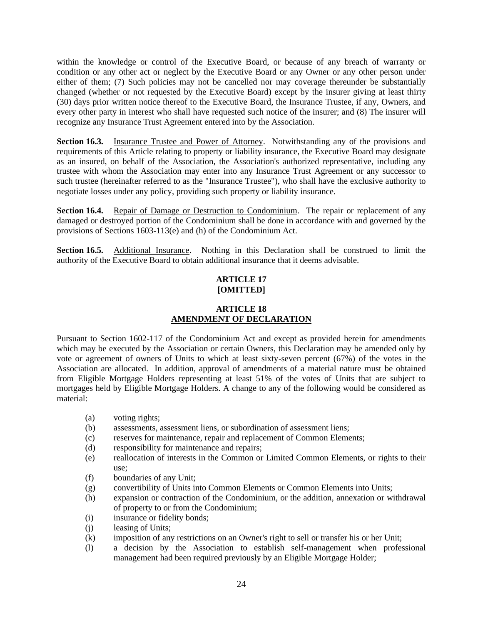within the knowledge or control of the Executive Board, or because of any breach of warranty or condition or any other act or neglect by the Executive Board or any Owner or any other person under either of them; (7) Such policies may not be cancelled nor may coverage thereunder be substantially changed (whether or not requested by the Executive Board) except by the insurer giving at least thirty (30) days prior written notice thereof to the Executive Board, the Insurance Trustee, if any, Owners, and every other party in interest who shall have requested such notice of the insurer; and (8) The insurer will recognize any Insurance Trust Agreement entered into by the Association.

**Section 16.3.** Insurance Trustee and Power of Attorney. Notwithstanding any of the provisions and requirements of this Article relating to property or liability insurance, the Executive Board may designate as an insured, on behalf of the Association, the Association's authorized representative, including any trustee with whom the Association may enter into any Insurance Trust Agreement or any successor to such trustee (hereinafter referred to as the "Insurance Trustee"), who shall have the exclusive authority to negotiate losses under any policy, providing such property or liability insurance.

**Section 16.4.** Repair of Damage or Destruction to Condominium. The repair or replacement of any damaged or destroyed portion of the Condominium shall be done in accordance with and governed by the provisions of Sections 1603-113(e) and (h) of the Condominium Act.

**Section 16.5.** Additional Insurance. Nothing in this Declaration shall be construed to limit the authority of the Executive Board to obtain additional insurance that it deems advisable.

# **ARTICLE 17 [OMITTED]**

# **ARTICLE 18 AMENDMENT OF DECLARATION**

Pursuant to Section 1602-117 of the Condominium Act and except as provided herein for amendments which may be executed by the Association or certain Owners, this Declaration may be amended only by vote or agreement of owners of Units to which at least sixty-seven percent (67%) of the votes in the Association are allocated. In addition, approval of amendments of a material nature must be obtained from Eligible Mortgage Holders representing at least 51% of the votes of Units that are subject to mortgages held by Eligible Mortgage Holders. A change to any of the following would be considered as material:

- (a) voting rights;
- (b) assessments, assessment liens, or subordination of assessment liens;
- (c) reserves for maintenance, repair and replacement of Common Elements;
- (d) responsibility for maintenance and repairs;
- (e) reallocation of interests in the Common or Limited Common Elements, or rights to their use;
- (f) boundaries of any Unit;
- (g) convertibility of Units into Common Elements or Common Elements into Units;
- (h) expansion or contraction of the Condominium, or the addition, annexation or withdrawal of property to or from the Condominium;
- (i) insurance or fidelity bonds;
- (j) leasing of Units;
- (k) imposition of any restrictions on an Owner's right to sell or transfer his or her Unit;
- (l) a decision by the Association to establish self-management when professional management had been required previously by an Eligible Mortgage Holder;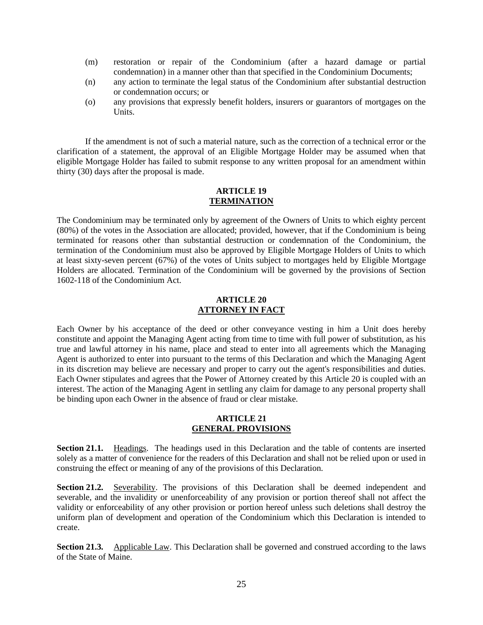- (m) restoration or repair of the Condominium (after a hazard damage or partial condemnation) in a manner other than that specified in the Condominium Documents;
- (n) any action to terminate the legal status of the Condominium after substantial destruction or condemnation occurs; or
- (o) any provisions that expressly benefit holders, insurers or guarantors of mortgages on the Units.

If the amendment is not of such a material nature, such as the correction of a technical error or the clarification of a statement, the approval of an Eligible Mortgage Holder may be assumed when that eligible Mortgage Holder has failed to submit response to any written proposal for an amendment within thirty (30) days after the proposal is made.

#### **ARTICLE 19 TERMINATION**

The Condominium may be terminated only by agreement of the Owners of Units to which eighty percent (80%) of the votes in the Association are allocated; provided, however, that if the Condominium is being terminated for reasons other than substantial destruction or condemnation of the Condominium, the termination of the Condominium must also be approved by Eligible Mortgage Holders of Units to which at least sixty-seven percent (67%) of the votes of Units subject to mortgages held by Eligible Mortgage Holders are allocated. Termination of the Condominium will be governed by the provisions of Section 1602-118 of the Condominium Act.

#### **ARTICLE 20 ATTORNEY IN FACT**

Each Owner by his acceptance of the deed or other conveyance vesting in him a Unit does hereby constitute and appoint the Managing Agent acting from time to time with full power of substitution, as his true and lawful attorney in his name, place and stead to enter into all agreements which the Managing Agent is authorized to enter into pursuant to the terms of this Declaration and which the Managing Agent in its discretion may believe are necessary and proper to carry out the agent's responsibilities and duties. Each Owner stipulates and agrees that the Power of Attorney created by this Article 20 is coupled with an interest. The action of the Managing Agent in settling any claim for damage to any personal property shall be binding upon each Owner in the absence of fraud or clear mistake.

### **ARTICLE 21 GENERAL PROVISIONS**

**Section 21.1.** Headings. The headings used in this Declaration and the table of contents are inserted solely as a matter of convenience for the readers of this Declaration and shall not be relied upon or used in construing the effect or meaning of any of the provisions of this Declaration.

**Section 21.2.** Severability. The provisions of this Declaration shall be deemed independent and severable, and the invalidity or unenforceability of any provision or portion thereof shall not affect the validity or enforceability of any other provision or portion hereof unless such deletions shall destroy the uniform plan of development and operation of the Condominium which this Declaration is intended to create.

**Section 21.3.** Applicable Law. This Declaration shall be governed and construed according to the laws of the State of Maine.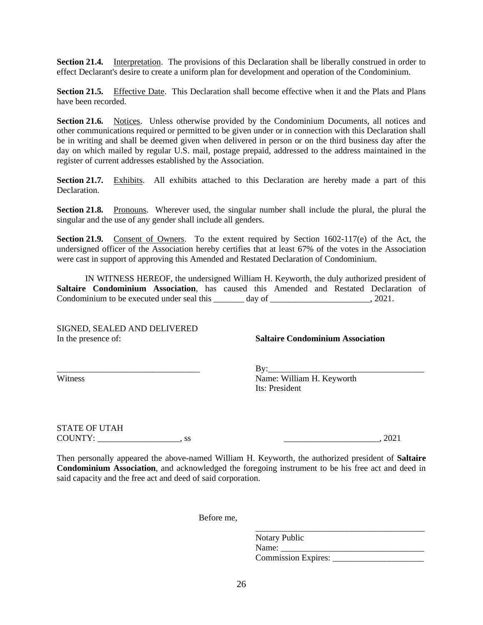**Section 21.4.** Interpretation. The provisions of this Declaration shall be liberally construed in order to effect Declarant's desire to create a uniform plan for development and operation of the Condominium.

**Section 21.5.** Effective Date. This Declaration shall become effective when it and the Plats and Plans have been recorded.

**Section 21.6.** Notices. Unless otherwise provided by the Condominium Documents, all notices and other communications required or permitted to be given under or in connection with this Declaration shall be in writing and shall be deemed given when delivered in person or on the third business day after the day on which mailed by regular U.S. mail, postage prepaid, addressed to the address maintained in the register of current addresses established by the Association.

**Section 21.7.** Exhibits. All exhibits attached to this Declaration are hereby made a part of this **Declaration** 

**Section 21.8.** Pronouns. Wherever used, the singular number shall include the plural, the plural the singular and the use of any gender shall include all genders.

**Section 21.9.** Consent of Owners. To the extent required by Section 1602-117(e) of the Act, the undersigned officer of the Association hereby certifies that at least 67% of the votes in the Association were cast in support of approving this Amended and Restated Declaration of Condominium.

IN WITNESS HEREOF, the undersigned William H. Keyworth, the duly authorized president of **Saltaire Condominium Association**, has caused this Amended and Restated Declaration of Condominium to be executed under seal this \_\_\_\_\_\_\_ day of \_\_\_\_\_\_\_\_\_\_\_\_\_\_\_\_\_\_\_\_\_, 2021.

SIGNED, SEALED AND DELIVERED In the presence of: **Saltaire Condominium Association**

\_\_\_\_\_\_\_\_\_\_\_\_\_\_\_\_\_\_\_\_\_\_\_\_\_\_\_\_\_\_\_\_\_ By:\_\_\_\_\_\_\_\_\_\_\_\_\_\_\_\_\_\_\_\_\_\_\_\_\_\_\_\_\_\_\_\_\_\_\_\_ Witness Name: William H. Keyworth Its: President

STATE OF UTAH COUNTY: \_\_\_\_\_\_\_\_\_\_\_\_\_\_\_\_\_\_\_, ss \_\_\_\_\_\_\_\_\_\_\_\_\_\_\_\_\_\_\_\_\_\_, 2021

Then personally appeared the above-named William H. Keyworth, the authorized president of **Saltaire Condominium Association**, and acknowledged the foregoing instrument to be his free act and deed in said capacity and the free act and deed of said corporation.

Before me,

\_\_\_\_\_\_\_\_\_\_\_\_\_\_\_\_\_\_\_\_\_\_\_\_\_\_\_\_\_\_\_\_\_\_\_\_\_\_\_ Notary Public Name: Commission Expires: \_\_\_\_\_\_\_\_\_\_\_\_\_\_\_\_\_\_\_\_\_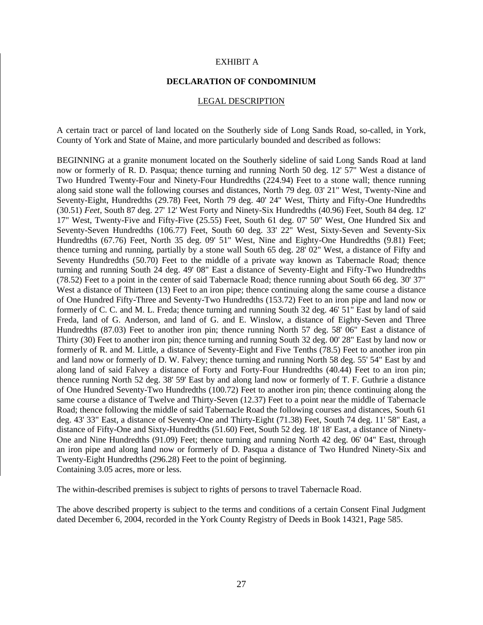#### EXHIBIT A

#### **DECLARATION OF CONDOMINIUM**

#### LEGAL DESCRIPTION

A certain tract or parcel of land located on the Southerly side of Long Sands Road, so-called, in York, County of York and State of Maine, and more particularly bounded and described as follows:

BEGINNING at a granite monument located on the Southerly sideline of said Long Sands Road at land now or formerly of R. D. Pasqua; thence turning and running North 50 deg. 12' 57" West a distance of Two Hundred Twenty-Four and Ninety-Four Hundredths (224.94) Feet to a stone wall; thence running along said stone wall the following courses and distances, North 79 deg. 03' 21" West, Twenty-Nine and Seventy-Eight, Hundredths (29.78) Feet, North 79 deg. 40' 24" West, Thirty and Fifty-One Hundredths (30.51) *Feet,* South 87 deg. 27' 12' West Forty and Ninety-Six Hundredths (40.96) Feet, South 84 deg. 12' 17" West, Twenty-Five and Fifty-Five (25.55) Feet, South 61 deg. 07' 50" West, One Hundred Six and Seventy-Seven Hundredths (106.77) Feet, South 60 deg. 33' 22" West, Sixty-Seven and Seventy-Six Hundredths (67.76) Feet, North 35 deg. 09' 51" West, Nine and Eighty-One Hundredths (9.81) Feet; thence turning and running, partially by a stone wall South 65 deg. 28' 02" West, a distance of Fifty and Seventy Hundredths (50.70) Feet to the middle of a private way known as Tabernacle Road; thence turning and running South 24 deg. 49' 08" East a distance of Seventy-Eight and Fifty-Two Hundredths (78.52) Feet to a point in the center of said Tabernacle Road; thence running about South 66 deg. 30' 37" West a distance of Thirteen (13) Feet to an iron pipe; thence continuing along the same course a distance of One Hundred Fifty-Three and Seventy-Two Hundredths (153.72) Feet to an iron pipe and land now or formerly of C. C. and M. L. Freda; thence turning and running South 32 deg. 46' 51" East by land of said Freda, land of G. Anderson, and land of G. and E. Winslow, a distance of Eighty-Seven and Three Hundredths (87.03) Feet to another iron pin; thence running North 57 deg. 58' 06" East a distance of Thirty (30) Feet to another iron pin; thence turning and running South 32 deg. 00' 28" East by land now or formerly of R. and M. Little, a distance of Seventy-Eight and Five Tenths (78.5) Feet to another iron pin and land now or formerly of D. W. Falvey; thence turning and running North 58 deg. 55' 54" East by and along land of said Falvey a distance of Forty and Forty-Four Hundredths (40.44) Feet to an iron pin; thence running North 52 deg. 38' 59' East by and along land now or formerly of T. F. Guthrie a distance of One Hundred Seventy-Two Hundredths (100.72) Feet to another iron pin; thence continuing along the same course a distance of Twelve and Thirty-Seven (12.37) Feet to a point near the middle of Tabernacle Road; thence following the middle of said Tabernacle Road the following courses and distances, South 61 deg. 43' 33" East, a distance of Seventy-One and Thirty-Eight (71.38) Feet, South 74 deg. 11' 58" East, a distance of Fifty-One and Sixty-Hundredths (51.60) Feet, South 52 deg. 18' 18' East, a distance of Ninety-One and Nine Hundredths (91.09) Feet; thence turning and running North 42 deg. 06' 04" East, through an iron pipe and along land now or formerly of D. Pasqua a distance of Two Hundred Ninety-Six and Twenty-Eight Hundredths (296.28) Feet to the point of beginning. Containing 3.05 acres, more or less.

The within-described premises is subject to rights of persons to travel Tabernacle Road.

The above described property is subject to the terms and conditions of a certain Consent Final Judgment dated December 6, 2004, recorded in the York County Registry of Deeds in Book 14321, Page 585.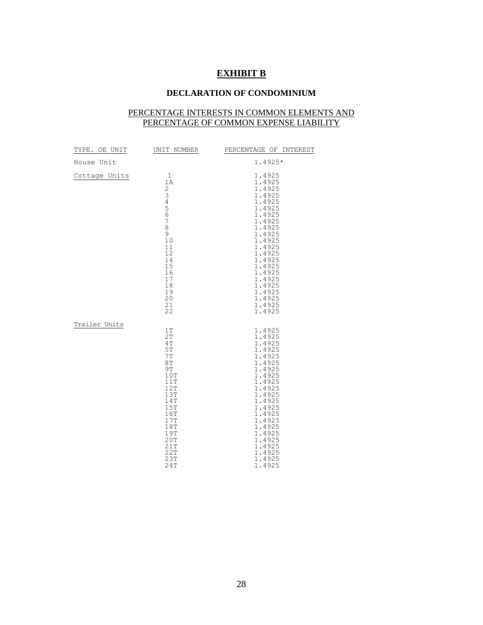# **EXHIBIT B**

## **DECLARATION OF CONDOMINIUM**

# PERCENTAGE INTERESTS IN COMMON ELEMENTS AND PERCENTAGE OF COMMON EXPENSE LIABILITY

| TYPE. OE UNIT | UNIT NUMBER                                                                                                                                                     | PERCENTAGE OF INTEREST                                                                                                                                                                                                   |
|---------------|-----------------------------------------------------------------------------------------------------------------------------------------------------------------|--------------------------------------------------------------------------------------------------------------------------------------------------------------------------------------------------------------------------|
| House Unit    |                                                                                                                                                                 | 1.4925*                                                                                                                                                                                                                  |
| Cottage Units | $1\,$<br>1A<br>234567<br>$\dot{8}$<br>9<br>10<br>11<br>12<br>14<br>15<br>16<br>17<br>18<br>19<br>20<br>21<br>22                                                 | 1.4925<br>1.4925<br>1.4925<br>1.4925<br>1.4925<br>1.4925<br>1.4925<br>1.4925<br>1.4925<br>1.4925<br>1.4925<br>1.4925<br>1.4925<br>1.4925<br>1.4925<br>1.4925<br>1.4925<br>1.4925<br>1.4925<br>1.4925<br>1.4925<br>1.4925 |
| Trailer Units | 1T<br>2T<br>4 T<br>5T<br>7T<br>$8\,\mathrm{T}$<br>$9T$<br>10T<br>11T<br>12T<br>13T<br>14T<br>15T<br>16T<br>17T<br>18T<br>19T<br>20T<br>21T<br>22T<br>23T<br>24T | 1.4925<br>1.4925<br>1.4925<br>1.4925<br>1.4925<br>1.4925<br>1.4925<br>1.4925<br>1.4925<br>1.4925<br>1.4925<br>1.4925<br>1.4925<br>1.4925<br>1.4925<br>1.4925<br>1.4925<br>1.4925<br>1.4925<br>1.4925<br>1.4925<br>1.4925 |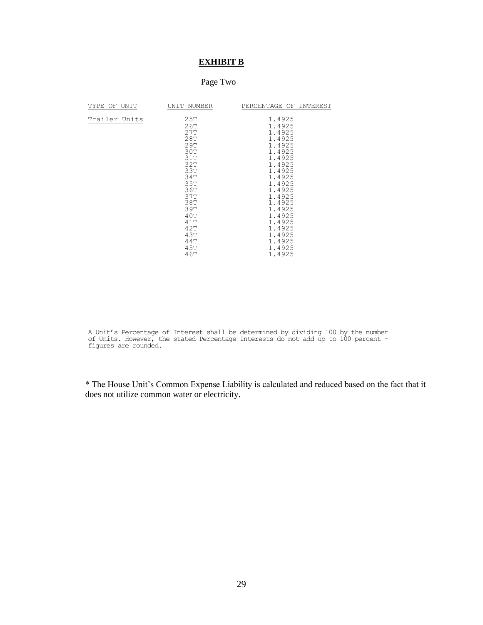# **EXHIBIT B**

#### Page Two

| TYPE OF UNIT  | UNIT NUMBER                                                                                                                              | PERCENTAGE OF INTEREST                                                                                                                                                                               |
|---------------|------------------------------------------------------------------------------------------------------------------------------------------|------------------------------------------------------------------------------------------------------------------------------------------------------------------------------------------------------|
| Trailer Units | 25T<br>26T<br>27T<br>28T<br>29T<br>30T<br>31T<br>32T<br>33T<br>34T<br>35T<br>36T<br>37T<br>38T<br>39T<br>40T<br>41T<br>42T<br>43T<br>44T | 1.4925<br>1.4925<br>1.4925<br>1.4925<br>1.4925<br>1.4925<br>1.4925<br>1.4925<br>1.4925<br>1.4925<br>1.4925<br>1.4925<br>1.4925<br>1.4925<br>1.4925<br>1.4925<br>1.4925<br>1.4925<br>1.4925<br>1.4925 |
|               | 45T<br>46T                                                                                                                               | 1.4925<br>1.4925                                                                                                                                                                                     |

A Unit's Percentage of Interest shall be determined by dividing 100 by the number of Units. However, the stated Percentage Interests do not add up to 100 percent figures are rounded.

\* The House Unit's Common Expense Liability is calculated and reduced based on the fact that it does not utilize common water or electricity.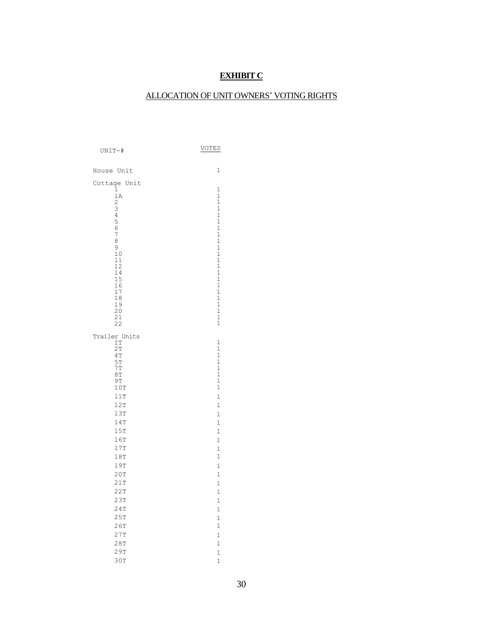# **EXHIBIT C**

# ALLOCATION OF UNIT OWNERS' VOTING RIGHTS

| $UNIT-#$                  | VOTES                        |
|---------------------------|------------------------------|
|                           |                              |
|                           |                              |
| House Unit                | 1                            |
| Cottage Unit              |                              |
| 1                         | $\mathbf 1$                  |
|                           | $\mathbf 1$<br>$\mathbf{1}$  |
|                           | $\mathbf 1$                  |
|                           | $1\,$                        |
|                           | $1\,$                        |
| 1 A<br>2 3 4 5 6 7 8<br>8 | $\mathbf{1}$<br>$\mathbf 1$  |
|                           | $\mathbf{1}$                 |
| 9                         | $\mathbf{1}$                 |
| 10                        | $\mathbf{1}$<br>$\mathbf{1}$ |
| 11<br>12                  | $\mathbf 1$                  |
| 14                        | $\mathbf{1}$                 |
| 15                        | $\mathbf{1}$                 |
| 16<br>17                  | $\mathbf 1$<br>$\mathbf{1}$  |
| 18                        | $\mathbf 1$                  |
| 19                        | $\mathbf{1}$                 |
| 20                        | $\mathbf 1$                  |
| 21<br>22                  | $\mathbf 1$<br>$\mathbf{1}$  |
|                           |                              |
| Trailer Units             |                              |
| ΙT<br>2T                  | 1<br>$\mathbf 1$             |
| 4 T                       | $\mathbf{1}$                 |
| 5T                        | $1\,$                        |
| 7 T                       | $1\,$<br>$\mathbf 1$         |
| 8Τ<br>9T                  | $\mathbf{1}$                 |
| 10T                       | $\mathbf{1}$                 |
| 11T                       | $\mathbf 1$                  |
| 12T                       | $\mathbf 1$                  |
| 13T                       | $\mathbf 1$                  |
| 14T                       | $\mathbf 1$                  |
| 15T                       | $\mathbf 1$                  |
| 16T                       | $\mathbf 1$                  |
| 17T                       | $\mathbf 1$                  |
| 18T                       | $\mathbf 1$                  |
| 19T                       | $\mathbf 1$                  |
| 20T                       | $\mathbf 1$                  |
| 21T                       | $\mathbf{1}$                 |
| 22T                       | $\mathbf 1$                  |
|                           |                              |
| 23T                       | $\mathbf{1}$                 |
| 24T                       | $\mathbf{1}$                 |
| 25T                       | $\mathbf{1}$                 |
| 26T                       | $\mathbf{1}$                 |
| 27T                       | $\mathbf{1}$                 |
| 28T                       | $\mathbf{1}$                 |
| 29T                       | $\mathbf{1}$                 |
| 30T                       | $\mathbf{1}$                 |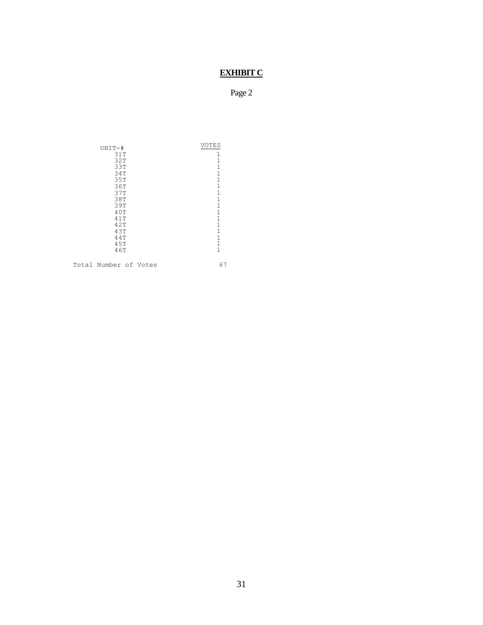# **EXHIBIT C**

```
Page 2
```

| $UNIT-#$<br>31T<br>32T<br>33T<br>34T<br>35T<br>36T<br>37T<br>38T<br>39T<br>40T<br>41T<br>42T<br>43T<br>44T<br>45T<br>46T | VOTES<br>1<br>$\mathbf{1}$<br>$\mathbf{1}$<br>$\mathbf{1}$<br>$\overline{1}$<br>$\overline{1}$<br>$\mathbf{1}$<br>$\overline{1}$<br>$\mathbf{1}$<br>$\mathbf{1}$<br>$\mathbf{1}$<br>$\mathbf{1}$<br>$\overline{1}$<br>$\mathbf{1}$<br>$\frac{1}{1}$ |
|--------------------------------------------------------------------------------------------------------------------------|-----------------------------------------------------------------------------------------------------------------------------------------------------------------------------------------------------------------------------------------------------|
| Total Number of Votes                                                                                                    | 67                                                                                                                                                                                                                                                  |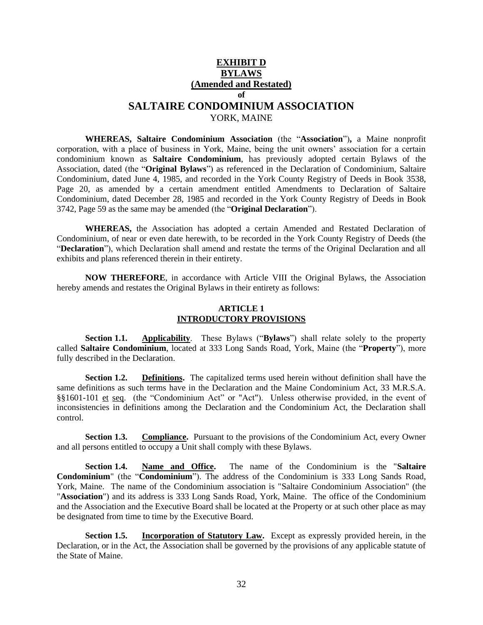# **EXHIBIT D BYLAWS (Amended and Restated) of SALTAIRE CONDOMINIUM ASSOCIATION** YORK, MAINE

**WHEREAS, Saltaire Condominium Association** (the "**Association**")**,** a Maine nonprofit corporation, with a place of business in York, Maine, being the unit owners' association for a certain condominium known as **Saltaire Condominium**, has previously adopted certain Bylaws of the Association, dated (the "**Original Bylaws**") as referenced in the Declaration of Condominium, Saltaire Condominium, dated June 4, 1985, and recorded in the York County Registry of Deeds in Book 3538, Page 20, as amended by a certain amendment entitled Amendments to Declaration of Saltaire Condominium, dated December 28, 1985 and recorded in the York County Registry of Deeds in Book 3742, Page 59 as the same may be amended (the "**Original Declaration**").

**WHEREAS,** the Association has adopted a certain Amended and Restated Declaration of Condominium, of near or even date herewith, to be recorded in the York County Registry of Deeds (the "**Declaration**"), which Declaration shall amend and restate the terms of the Original Declaration and all exhibits and plans referenced therein in their entirety.

**NOW THEREFORE**, in accordance with Article VIII the Original Bylaws, the Association hereby amends and restates the Original Bylaws in their entirety as follows:

# **ARTICLE 1 INTRODUCTORY PROVISIONS**

**Section 1.1. Applicability**. These Bylaws ("**Bylaws**") shall relate solely to the property called **Saltaire Condominium**, located at 333 Long Sands Road, York, Maine (the "**Property**"), more fully described in the Declaration.

**Section 1.2. Definitions.** The capitalized terms used herein without definition shall have the same definitions as such terms have in the Declaration and the Maine Condominium Act, 33 M.R.S.A. §§1601-101 et seq. (the "Condominium Act" or "Act"). Unless otherwise provided, in the event of inconsistencies in definitions among the Declaration and the Condominium Act, the Declaration shall control.

**Section 1.3. Compliance.** Pursuant to the provisions of the Condominium Act, every Owner and all persons entitled to occupy a Unit shall comply with these Bylaws.

**Section 1.4. Name and Office.** The name of the Condominium is the "**Saltaire Condominium**" (the "**Condominium**"). The address of the Condominium is 333 Long Sands Road, York, Maine. The name of the Condominium association is "Saltaire Condominium Association" (the "**Association**") and its address is 333 Long Sands Road, York, Maine. The office of the Condominium and the Association and the Executive Board shall be located at the Property or at such other place as may be designated from time to time by the Executive Board.

**Section 1.5. Incorporation of Statutory Law.** Except as expressly provided herein, in the Declaration, or in the Act, the Association shall be governed by the provisions of any applicable statute of the State of Maine.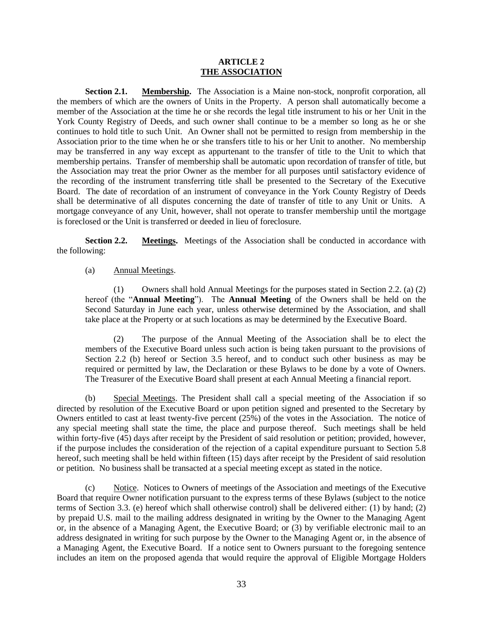#### **ARTICLE 2 THE ASSOCIATION**

**Section 2.1. Membership.** The Association is a Maine non-stock, nonprofit corporation, all the members of which are the owners of Units in the Property. A person shall automatically become a member of the Association at the time he or she records the legal title instrument to his or her Unit in the York County Registry of Deeds, and such owner shall continue to be a member so long as he or she continues to hold title to such Unit. An Owner shall not be permitted to resign from membership in the Association prior to the time when he or she transfers title to his or her Unit to another. No membership may be transferred in any way except as appurtenant to the transfer of title to the Unit to which that membership pertains. Transfer of membership shall be automatic upon recordation of transfer of title, but the Association may treat the prior Owner as the member for all purposes until satisfactory evidence of the recording of the instrument transferring title shall be presented to the Secretary of the Executive Board. The date of recordation of an instrument of conveyance in the York County Registry of Deeds shall be determinative of all disputes concerning the date of transfer of title to any Unit or Units. A mortgage conveyance of any Unit, however, shall not operate to transfer membership until the mortgage is foreclosed or the Unit is transferred or deeded in lieu of foreclosure.

**Section 2.2. Meetings.** Meetings of the Association shall be conducted in accordance with the following:

# (a) Annual Meetings.

(1) Owners shall hold Annual Meetings for the purposes stated in Section 2.2. (a) (2) hereof (the "**Annual Meeting**"). The **Annual Meeting** of the Owners shall be held on the Second Saturday in June each year, unless otherwise determined by the Association, and shall take place at the Property or at such locations as may be determined by the Executive Board.

(2) The purpose of the Annual Meeting of the Association shall be to elect the members of the Executive Board unless such action is being taken pursuant to the provisions of Section 2.2 (b) hereof or Section 3.5 hereof, and to conduct such other business as may be required or permitted by law, the Declaration or these Bylaws to be done by a vote of Owners. The Treasurer of the Executive Board shall present at each Annual Meeting a financial report.

(b) Special Meetings. The President shall call a special meeting of the Association if so directed by resolution of the Executive Board or upon petition signed and presented to the Secretary by Owners entitled to cast at least twenty-five percent (25%) of the votes in the Association. The notice of any special meeting shall state the time, the place and purpose thereof. Such meetings shall be held within forty-five (45) days after receipt by the President of said resolution or petition; provided, however, if the purpose includes the consideration of the rejection of a capital expenditure pursuant to Section 5.8 hereof, such meeting shall be held within fifteen (15) days after receipt by the President of said resolution or petition. No business shall be transacted at a special meeting except as stated in the notice.

(c) Notice. Notices to Owners of meetings of the Association and meetings of the Executive Board that require Owner notification pursuant to the express terms of these Bylaws (subject to the notice terms of Section 3.3. (e) hereof which shall otherwise control) shall be delivered either: (1) by hand; (2) by prepaid U.S. mail to the mailing address designated in writing by the Owner to the Managing Agent or, in the absence of a Managing Agent, the Executive Board; or (3) by verifiable electronic mail to an address designated in writing for such purpose by the Owner to the Managing Agent or, in the absence of a Managing Agent, the Executive Board. If a notice sent to Owners pursuant to the foregoing sentence includes an item on the proposed agenda that would require the approval of Eligible Mortgage Holders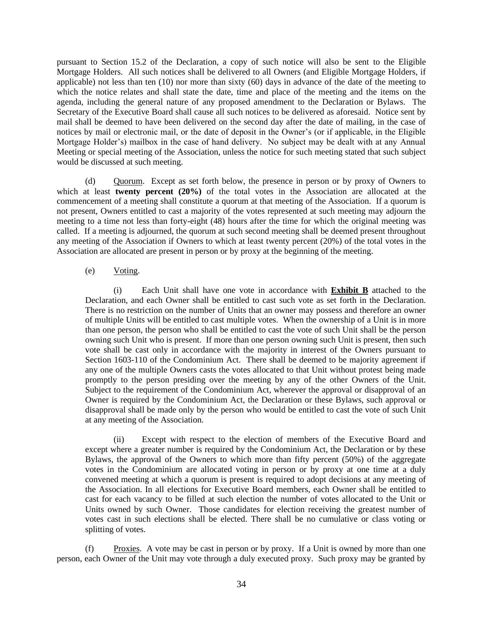pursuant to Section 15.2 of the Declaration, a copy of such notice will also be sent to the Eligible Mortgage Holders. All such notices shall be delivered to all Owners (and Eligible Mortgage Holders, if applicable) not less than ten (10) nor more than sixty (60) days in advance of the date of the meeting to which the notice relates and shall state the date, time and place of the meeting and the items on the agenda, including the general nature of any proposed amendment to the Declaration or Bylaws. The Secretary of the Executive Board shall cause all such notices to be delivered as aforesaid. Notice sent by mail shall be deemed to have been delivered on the second day after the date of mailing, in the case of notices by mail or electronic mail, or the date of deposit in the Owner's (or if applicable, in the Eligible Mortgage Holder's) mailbox in the case of hand delivery. No subject may be dealt with at any Annual Meeting or special meeting of the Association, unless the notice for such meeting stated that such subject would be discussed at such meeting.

(d) Quorum. Except as set forth below, the presence in person or by proxy of Owners to which at least **twenty percent** (20%) of the total votes in the Association are allocated at the commencement of a meeting shall constitute a quorum at that meeting of the Association. If a quorum is not present, Owners entitled to cast a majority of the votes represented at such meeting may adjourn the meeting to a time not less than forty-eight (48) hours after the time for which the original meeting was called. If a meeting is adjourned, the quorum at such second meeting shall be deemed present throughout any meeting of the Association if Owners to which at least twenty percent (20%) of the total votes in the Association are allocated are present in person or by proxy at the beginning of the meeting.

### (e) Voting.

(i) Each Unit shall have one vote in accordance with **Exhibit B** attached to the Declaration, and each Owner shall be entitled to cast such vote as set forth in the Declaration. There is no restriction on the number of Units that an owner may possess and therefore an owner of multiple Units will be entitled to cast multiple votes. When the ownership of a Unit is in more than one person, the person who shall be entitled to cast the vote of such Unit shall be the person owning such Unit who is present. If more than one person owning such Unit is present, then such vote shall be cast only in accordance with the majority in interest of the Owners pursuant to Section 1603-110 of the Condominium Act. There shall be deemed to be majority agreement if any one of the multiple Owners casts the votes allocated to that Unit without protest being made promptly to the person presiding over the meeting by any of the other Owners of the Unit. Subject to the requirement of the Condominium Act, wherever the approval or disapproval of an Owner is required by the Condominium Act, the Declaration or these Bylaws, such approval or disapproval shall be made only by the person who would be entitled to cast the vote of such Unit at any meeting of the Association.

(ii) Except with respect to the election of members of the Executive Board and except where a greater number is required by the Condominium Act, the Declaration or by these Bylaws, the approval of the Owners to which more than fifty percent (50%) of the aggregate votes in the Condominium are allocated voting in person or by proxy at one time at a duly convened meeting at which a quorum is present is required to adopt decisions at any meeting of the Association. In all elections for Executive Board members, each Owner shall be entitled to cast for each vacancy to be filled at such election the number of votes allocated to the Unit or Units owned by such Owner. Those candidates for election receiving the greatest number of votes cast in such elections shall be elected. There shall be no cumulative or class voting or splitting of votes.

(f) Proxies. A vote may be cast in person or by proxy. If a Unit is owned by more than one person, each Owner of the Unit may vote through a duly executed proxy. Such proxy may be granted by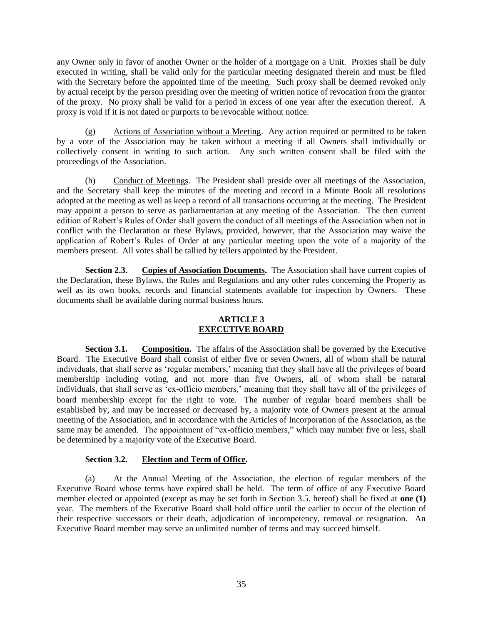any Owner only in favor of another Owner or the holder of a mortgage on a Unit. Proxies shall be duly executed in writing, shall be valid only for the particular meeting designated therein and must be filed with the Secretary before the appointed time of the meeting. Such proxy shall be deemed revoked only by actual receipt by the person presiding over the meeting of written notice of revocation from the grantor of the proxy. No proxy shall be valid for a period in excess of one year after the execution thereof. A proxy is void if it is not dated or purports to be revocable without notice.

(g) Actions of Association without a Meeting. Any action required or permitted to be taken by a vote of the Association may be taken without a meeting if all Owners shall individually or collectively consent in writing to such action. Any such written consent shall be filed with the proceedings of the Association.

(h) Conduct of Meetings. The President shall preside over all meetings of the Association, and the Secretary shall keep the minutes of the meeting and record in a Minute Book all resolutions adopted at the meeting as well as keep a record of all transactions occurring at the meeting. The President may appoint a person to serve as parliamentarian at any meeting of the Association. The then current edition of Robert's Rules of Order shall govern the conduct of all meetings of the Association when not in conflict with the Declaration or these Bylaws, provided, however, that the Association may waive the application of Robert's Rules of Order at any particular meeting upon the vote of a majority of the members present. All votes shall be tallied by tellers appointed by the President.

**Section 2.3. Copies of Association Documents.** The Association shall have current copies of the Declaration, these Bylaws, the Rules and Regulations and any other rules concerning the Property as well as its own books, records and financial statements available for inspection by Owners. These documents shall be available during normal business hours.

# **ARTICLE 3 EXECUTIVE BOARD**

**Section 3.1. Composition.** The affairs of the Association shall be governed by the Executive Board. The Executive Board shall consist of either five or seven Owners, all of whom shall be natural individuals, that shall serve as 'regular members,' meaning that they shall have all the privileges of board membership including voting, and not more than five Owners, all of whom shall be natural individuals, that shall serve as 'ex-officio members,' meaning that they shall have all of the privileges of board membership except for the right to vote. The number of regular board members shall be established by, and may be increased or decreased by, a majority vote of Owners present at the annual meeting of the Association, and in accordance with the Articles of Incorporation of the Association, as the same may be amended. The appointment of "ex-officio members," which may number five or less, shall be determined by a majority vote of the Executive Board.

### **Section 3.2. Election and Term of Office.**

(a) At the Annual Meeting of the Association, the election of regular members of the Executive Board whose terms have expired shall be held. The term of office of any Executive Board member elected or appointed (except as may be set forth in Section 3.5. hereof) shall be fixed at **one (1)** year. The members of the Executive Board shall hold office until the earlier to occur of the election of their respective successors or their death, adjudication of incompetency, removal or resignation. An Executive Board member may serve an unlimited number of terms and may succeed himself.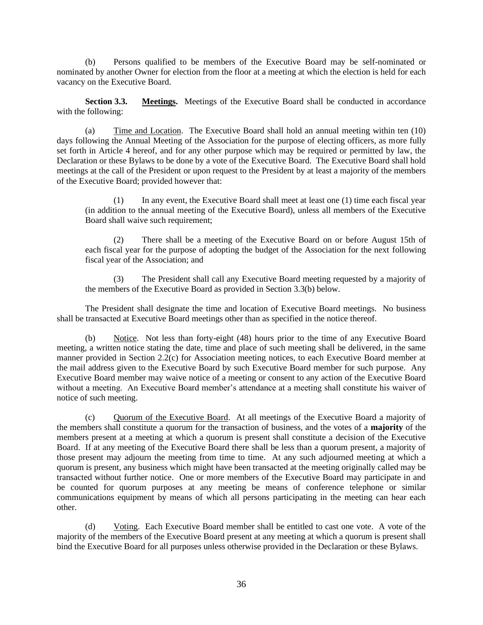(b) Persons qualified to be members of the Executive Board may be self-nominated or nominated by another Owner for election from the floor at a meeting at which the election is held for each vacancy on the Executive Board.

**Section 3.3. Meetings.** Meetings of the Executive Board shall be conducted in accordance with the following:

(a) Time and Location. The Executive Board shall hold an annual meeting within ten (10) days following the Annual Meeting of the Association for the purpose of electing officers, as more fully set forth in Article 4 hereof, and for any other purpose which may be required or permitted by law, the Declaration or these Bylaws to be done by a vote of the Executive Board. The Executive Board shall hold meetings at the call of the President or upon request to the President by at least a majority of the members of the Executive Board; provided however that:

(1) In any event, the Executive Board shall meet at least one (1) time each fiscal year (in addition to the annual meeting of the Executive Board), unless all members of the Executive Board shall waive such requirement;

(2) There shall be a meeting of the Executive Board on or before August 15th of each fiscal year for the purpose of adopting the budget of the Association for the next following fiscal year of the Association; and

(3) The President shall call any Executive Board meeting requested by a majority of the members of the Executive Board as provided in Section 3.3(b) below.

The President shall designate the time and location of Executive Board meetings. No business shall be transacted at Executive Board meetings other than as specified in the notice thereof.

(b) Notice. Not less than forty-eight (48) hours prior to the time of any Executive Board meeting, a written notice stating the date, time and place of such meeting shall be delivered, in the same manner provided in Section 2.2(c) for Association meeting notices, to each Executive Board member at the mail address given to the Executive Board by such Executive Board member for such purpose. Any Executive Board member may waive notice of a meeting or consent to any action of the Executive Board without a meeting. An Executive Board member's attendance at a meeting shall constitute his waiver of notice of such meeting.

(c) Quorum of the Executive Board. At all meetings of the Executive Board a majority of the members shall constitute a quorum for the transaction of business, and the votes of a **majority** of the members present at a meeting at which a quorum is present shall constitute a decision of the Executive Board. If at any meeting of the Executive Board there shall be less than a quorum present, a majority of those present may adjourn the meeting from time to time. At any such adjourned meeting at which a quorum is present, any business which might have been transacted at the meeting originally called may be transacted without further notice. One or more members of the Executive Board may participate in and be counted for quorum purposes at any meeting be means of conference telephone or similar communications equipment by means of which all persons participating in the meeting can hear each other.

(d) Voting. Each Executive Board member shall be entitled to cast one vote. A vote of the majority of the members of the Executive Board present at any meeting at which a quorum is present shall bind the Executive Board for all purposes unless otherwise provided in the Declaration or these Bylaws.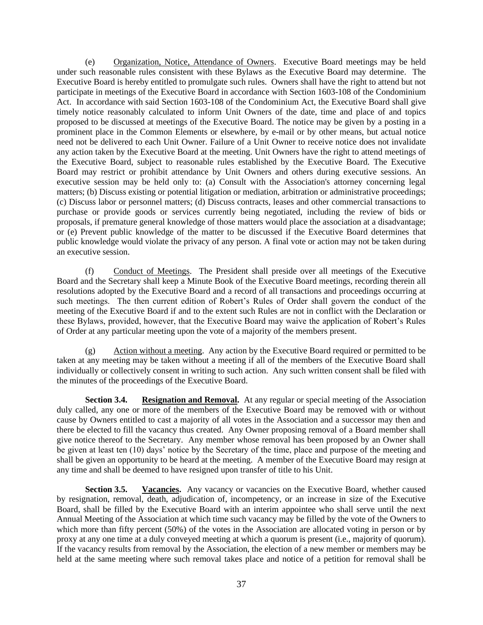(e) Organization, Notice, Attendance of Owners. Executive Board meetings may be held under such reasonable rules consistent with these Bylaws as the Executive Board may determine. The Executive Board is hereby entitled to promulgate such rules. Owners shall have the right to attend but not participate in meetings of the Executive Board in accordance with Section 1603-108 of the Condominium Act. In accordance with said Section 1603-108 of the Condominium Act, the Executive Board shall give timely notice reasonably calculated to inform Unit Owners of the date, time and place of and topics proposed to be discussed at meetings of the Executive Board. The notice may be given by a posting in a prominent place in the Common Elements or elsewhere, by e-mail or by other means, but actual notice need not be delivered to each Unit Owner. Failure of a Unit Owner to receive notice does not invalidate any action taken by the Executive Board at the meeting. Unit Owners have the right to attend meetings of the Executive Board, subject to reasonable rules established by the Executive Board. The Executive Board may restrict or prohibit attendance by Unit Owners and others during executive sessions. An executive session may be held only to: (a) Consult with the Association's attorney concerning legal matters; (b) Discuss existing or potential litigation or mediation, arbitration or administrative proceedings; (c) Discuss labor or personnel matters; (d) Discuss contracts, leases and other commercial transactions to purchase or provide goods or services currently being negotiated, including the review of bids or proposals, if premature general knowledge of those matters would place the association at a disadvantage; or (e) Prevent public knowledge of the matter to be discussed if the Executive Board determines that public knowledge would violate the privacy of any person. A final vote or action may not be taken during an executive session.

(f) Conduct of Meetings. The President shall preside over all meetings of the Executive Board and the Secretary shall keep a Minute Book of the Executive Board meetings, recording therein all resolutions adopted by the Executive Board and a record of all transactions and proceedings occurring at such meetings. The then current edition of Robert's Rules of Order shall govern the conduct of the meeting of the Executive Board if and to the extent such Rules are not in conflict with the Declaration or these Bylaws, provided, however, that the Executive Board may waive the application of Robert's Rules of Order at any particular meeting upon the vote of a majority of the members present.

(g) Action without a meeting. Any action by the Executive Board required or permitted to be taken at any meeting may be taken without a meeting if all of the members of the Executive Board shall individually or collectively consent in writing to such action. Any such written consent shall be filed with the minutes of the proceedings of the Executive Board.

**Section 3.4. Resignation and Removal.** At any regular or special meeting of the Association duly called, any one or more of the members of the Executive Board may be removed with or without cause by Owners entitled to cast a majority of all votes in the Association and a successor may then and there be elected to fill the vacancy thus created. Any Owner proposing removal of a Board member shall give notice thereof to the Secretary. Any member whose removal has been proposed by an Owner shall be given at least ten (10) days' notice by the Secretary of the time, place and purpose of the meeting and shall be given an opportunity to be heard at the meeting. A member of the Executive Board may resign at any time and shall be deemed to have resigned upon transfer of title to his Unit.

**Section 3.5. Vacancies.** Any vacancy or vacancies on the Executive Board, whether caused by resignation, removal, death, adjudication of, incompetency, or an increase in size of the Executive Board, shall be filled by the Executive Board with an interim appointee who shall serve until the next Annual Meeting of the Association at which time such vacancy may be filled by the vote of the Owners to which more than fifty percent (50%) of the votes in the Association are allocated voting in person or by proxy at any one time at a duly conveyed meeting at which a quorum is present (i.e., majority of quorum). If the vacancy results from removal by the Association, the election of a new member or members may be held at the same meeting where such removal takes place and notice of a petition for removal shall be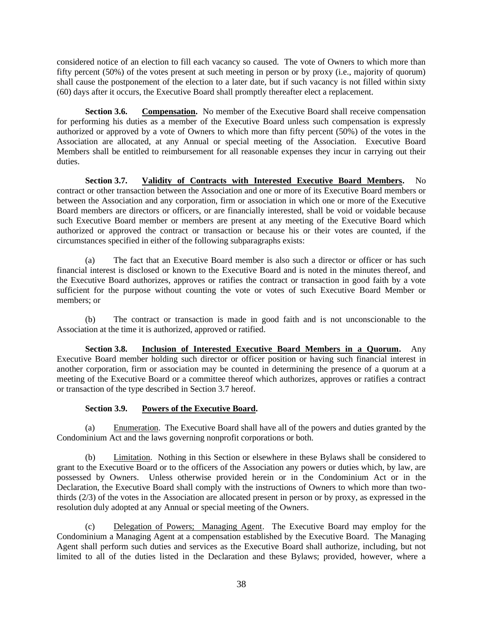considered notice of an election to fill each vacancy so caused. The vote of Owners to which more than fifty percent (50%) of the votes present at such meeting in person or by proxy (i.e., majority of quorum) shall cause the postponement of the election to a later date, but if such vacancy is not filled within sixty (60) days after it occurs, the Executive Board shall promptly thereafter elect a replacement.

**Section 3.6. Compensation.** No member of the Executive Board shall receive compensation for performing his duties as a member of the Executive Board unless such compensation is expressly authorized or approved by a vote of Owners to which more than fifty percent (50%) of the votes in the Association are allocated, at any Annual or special meeting of the Association. Executive Board Members shall be entitled to reimbursement for all reasonable expenses they incur in carrying out their duties.

**Section 3.7. Validity of Contracts with Interested Executive Board Members.** No contract or other transaction between the Association and one or more of its Executive Board members or between the Association and any corporation, firm or association in which one or more of the Executive Board members are directors or officers, or are financially interested, shall be void or voidable because such Executive Board member or members are present at any meeting of the Executive Board which authorized or approved the contract or transaction or because his or their votes are counted, if the circumstances specified in either of the following subparagraphs exists:

(a) The fact that an Executive Board member is also such a director or officer or has such financial interest is disclosed or known to the Executive Board and is noted in the minutes thereof, and the Executive Board authorizes, approves or ratifies the contract or transaction in good faith by a vote sufficient for the purpose without counting the vote or votes of such Executive Board Member or members; or

(b) The contract or transaction is made in good faith and is not unconscionable to the Association at the time it is authorized, approved or ratified.

**Section 3.8. Inclusion of Interested Executive Board Members in a Quorum.** Any Executive Board member holding such director or officer position or having such financial interest in another corporation, firm or association may be counted in determining the presence of a quorum at a meeting of the Executive Board or a committee thereof which authorizes, approves or ratifies a contract or transaction of the type described in Section 3.7 hereof.

# **Section 3.9. Powers of the Executive Board.**

(a) Enumeration. The Executive Board shall have all of the powers and duties granted by the Condominium Act and the laws governing nonprofit corporations or both.

(b) Limitation. Nothing in this Section or elsewhere in these Bylaws shall be considered to grant to the Executive Board or to the officers of the Association any powers or duties which, by law, are possessed by Owners. Unless otherwise provided herein or in the Condominium Act or in the Declaration, the Executive Board shall comply with the instructions of Owners to which more than twothirds (2/3) of the votes in the Association are allocated present in person or by proxy, as expressed in the resolution duly adopted at any Annual or special meeting of the Owners.

(c) Delegation of Powers; Managing Agent. The Executive Board may employ for the Condominium a Managing Agent at a compensation established by the Executive Board. The Managing Agent shall perform such duties and services as the Executive Board shall authorize, including, but not limited to all of the duties listed in the Declaration and these Bylaws; provided, however, where a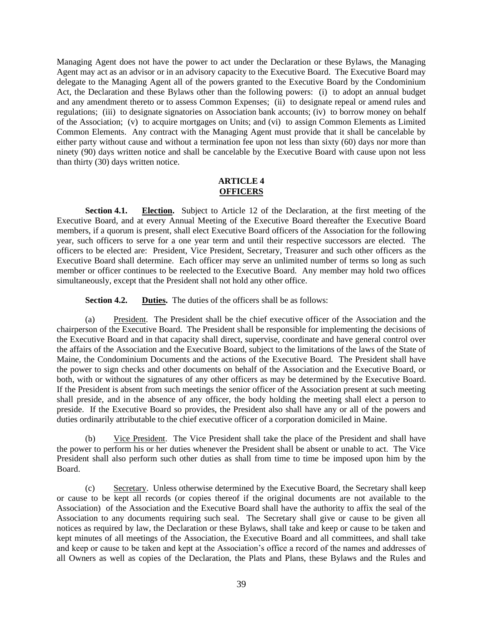Managing Agent does not have the power to act under the Declaration or these Bylaws, the Managing Agent may act as an advisor or in an advisory capacity to the Executive Board. The Executive Board may delegate to the Managing Agent all of the powers granted to the Executive Board by the Condominium Act, the Declaration and these Bylaws other than the following powers: (i) to adopt an annual budget and any amendment thereto or to assess Common Expenses; (ii) to designate repeal or amend rules and regulations; (iii) to designate signatories on Association bank accounts; (iv) to borrow money on behalf of the Association; (v) to acquire mortgages on Units; and (vi) to assign Common Elements as Limited Common Elements. Any contract with the Managing Agent must provide that it shall be cancelable by either party without cause and without a termination fee upon not less than sixty (60) days nor more than ninety (90) days written notice and shall be cancelable by the Executive Board with cause upon not less than thirty (30) days written notice.

#### **ARTICLE 4 OFFICERS**

**Section 4.1. Election.** Subject to Article 12 of the Declaration, at the first meeting of the Executive Board, and at every Annual Meeting of the Executive Board thereafter the Executive Board members, if a quorum is present, shall elect Executive Board officers of the Association for the following year, such officers to serve for a one year term and until their respective successors are elected. The officers to be elected are: President, Vice President, Secretary, Treasurer and such other officers as the Executive Board shall determine. Each officer may serve an unlimited number of terms so long as such member or officer continues to be reelected to the Executive Board. Any member may hold two offices simultaneously, except that the President shall not hold any other office.

**Section 4.2. Duties.** The duties of the officers shall be as follows:

(a) President. The President shall be the chief executive officer of the Association and the chairperson of the Executive Board. The President shall be responsible for implementing the decisions of the Executive Board and in that capacity shall direct, supervise, coordinate and have general control over the affairs of the Association and the Executive Board, subject to the limitations of the laws of the State of Maine, the Condominium Documents and the actions of the Executive Board. The President shall have the power to sign checks and other documents on behalf of the Association and the Executive Board, or both, with or without the signatures of any other officers as may be determined by the Executive Board. If the President is absent from such meetings the senior officer of the Association present at such meeting shall preside, and in the absence of any officer, the body holding the meeting shall elect a person to preside. If the Executive Board so provides, the President also shall have any or all of the powers and duties ordinarily attributable to the chief executive officer of a corporation domiciled in Maine.

(b) Vice President. The Vice President shall take the place of the President and shall have the power to perform his or her duties whenever the President shall be absent or unable to act. The Vice President shall also perform such other duties as shall from time to time be imposed upon him by the Board.

(c) Secretary. Unless otherwise determined by the Executive Board, the Secretary shall keep or cause to be kept all records (or copies thereof if the original documents are not available to the Association) of the Association and the Executive Board shall have the authority to affix the seal of the Association to any documents requiring such seal. The Secretary shall give or cause to be given all notices as required by law, the Declaration or these Bylaws, shall take and keep or cause to be taken and kept minutes of all meetings of the Association, the Executive Board and all committees, and shall take and keep or cause to be taken and kept at the Association's office a record of the names and addresses of all Owners as well as copies of the Declaration, the Plats and Plans, these Bylaws and the Rules and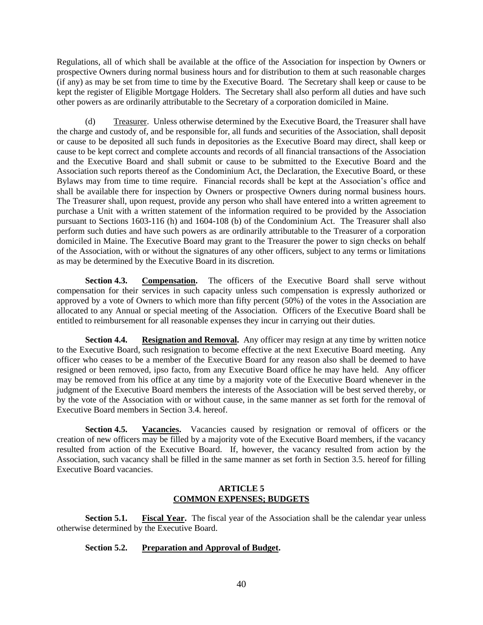Regulations, all of which shall be available at the office of the Association for inspection by Owners or prospective Owners during normal business hours and for distribution to them at such reasonable charges (if any) as may be set from time to time by the Executive Board. The Secretary shall keep or cause to be kept the register of Eligible Mortgage Holders. The Secretary shall also perform all duties and have such other powers as are ordinarily attributable to the Secretary of a corporation domiciled in Maine.

(d) Treasurer. Unless otherwise determined by the Executive Board, the Treasurer shall have the charge and custody of, and be responsible for, all funds and securities of the Association, shall deposit or cause to be deposited all such funds in depositories as the Executive Board may direct, shall keep or cause to be kept correct and complete accounts and records of all financial transactions of the Association and the Executive Board and shall submit or cause to be submitted to the Executive Board and the Association such reports thereof as the Condominium Act, the Declaration, the Executive Board, or these Bylaws may from time to time require. Financial records shall be kept at the Association's office and shall be available there for inspection by Owners or prospective Owners during normal business hours. The Treasurer shall, upon request, provide any person who shall have entered into a written agreement to purchase a Unit with a written statement of the information required to be provided by the Association pursuant to Sections 1603-116 (h) and 1604-108 (b) of the Condominium Act. The Treasurer shall also perform such duties and have such powers as are ordinarily attributable to the Treasurer of a corporation domiciled in Maine. The Executive Board may grant to the Treasurer the power to sign checks on behalf of the Association, with or without the signatures of any other officers, subject to any terms or limitations as may be determined by the Executive Board in its discretion.

**Section 4.3. Compensation.** The officers of the Executive Board shall serve without compensation for their services in such capacity unless such compensation is expressly authorized or approved by a vote of Owners to which more than fifty percent (50%) of the votes in the Association are allocated to any Annual or special meeting of the Association. Officers of the Executive Board shall be entitled to reimbursement for all reasonable expenses they incur in carrying out their duties.

**Section 4.4. Resignation and Removal.** Any officer may resign at any time by written notice to the Executive Board, such resignation to become effective at the next Executive Board meeting. Any officer who ceases to be a member of the Executive Board for any reason also shall be deemed to have resigned or been removed, ipso facto, from any Executive Board office he may have held. Any officer may be removed from his office at any time by a majority vote of the Executive Board whenever in the judgment of the Executive Board members the interests of the Association will be best served thereby, or by the vote of the Association with or without cause, in the same manner as set forth for the removal of Executive Board members in Section 3.4. hereof.

**Section 4.5. Vacancies.** Vacancies caused by resignation or removal of officers or the creation of new officers may be filled by a majority vote of the Executive Board members, if the vacancy resulted from action of the Executive Board. If, however, the vacancy resulted from action by the Association, such vacancy shall be filled in the same manner as set forth in Section 3.5. hereof for filling Executive Board vacancies.

### **ARTICLE 5 COMMON EXPENSES; BUDGETS**

**Section 5.1. Fiscal Year.** The fiscal year of the Association shall be the calendar year unless otherwise determined by the Executive Board.

# **Section 5.2. Preparation and Approval of Budget.**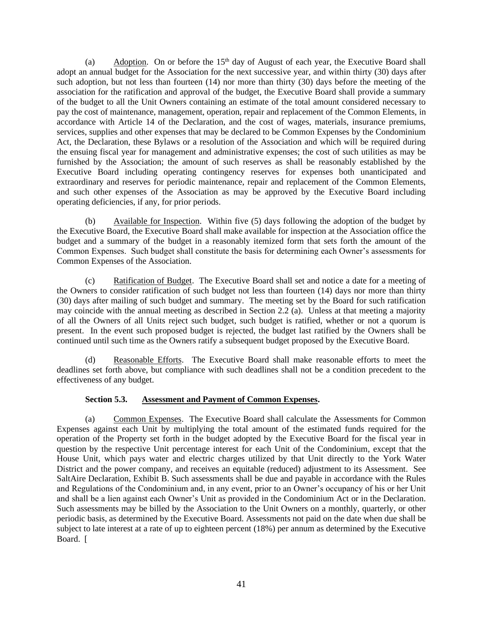(a) Adoption. On or before the  $15<sup>th</sup>$  day of August of each year, the Executive Board shall adopt an annual budget for the Association for the next successive year, and within thirty (30) days after such adoption, but not less than fourteen (14) nor more than thirty (30) days before the meeting of the association for the ratification and approval of the budget, the Executive Board shall provide a summary of the budget to all the Unit Owners containing an estimate of the total amount considered necessary to pay the cost of maintenance, management, operation, repair and replacement of the Common Elements, in accordance with Article 14 of the Declaration, and the cost of wages, materials, insurance premiums, services, supplies and other expenses that may be declared to be Common Expenses by the Condominium Act, the Declaration, these Bylaws or a resolution of the Association and which will be required during the ensuing fiscal year for management and administrative expenses; the cost of such utilities as may be furnished by the Association; the amount of such reserves as shall be reasonably established by the Executive Board including operating contingency reserves for expenses both unanticipated and extraordinary and reserves for periodic maintenance, repair and replacement of the Common Elements, and such other expenses of the Association as may be approved by the Executive Board including operating deficiencies, if any, for prior periods.

(b) Available for Inspection. Within five (5) days following the adoption of the budget by the Executive Board, the Executive Board shall make available for inspection at the Association office the budget and a summary of the budget in a reasonably itemized form that sets forth the amount of the Common Expenses. Such budget shall constitute the basis for determining each Owner's assessments for Common Expenses of the Association.

(c) Ratification of Budget. The Executive Board shall set and notice a date for a meeting of the Owners to consider ratification of such budget not less than fourteen (14) days nor more than thirty (30) days after mailing of such budget and summary. The meeting set by the Board for such ratification may coincide with the annual meeting as described in Section 2.2 (a). Unless at that meeting a majority of all the Owners of all Units reject such budget, such budget is ratified, whether or not a quorum is present. In the event such proposed budget is rejected, the budget last ratified by the Owners shall be continued until such time as the Owners ratify a subsequent budget proposed by the Executive Board.

(d) Reasonable Efforts. The Executive Board shall make reasonable efforts to meet the deadlines set forth above, but compliance with such deadlines shall not be a condition precedent to the effectiveness of any budget.

### **Section 5.3. Assessment and Payment of Common Expenses.**

(a) Common Expenses. The Executive Board shall calculate the Assessments for Common Expenses against each Unit by multiplying the total amount of the estimated funds required for the operation of the Property set forth in the budget adopted by the Executive Board for the fiscal year in question by the respective Unit percentage interest for each Unit of the Condominium, except that the House Unit, which pays water and electric charges utilized by that Unit directly to the York Water District and the power company, and receives an equitable (reduced) adjustment to its Assessment. See SaltAire Declaration, Exhibit B. Such assessments shall be due and payable in accordance with the Rules and Regulations of the Condominium and, in any event, prior to an Owner's occupancy of his or her Unit and shall be a lien against each Owner's Unit as provided in the Condominium Act or in the Declaration. Such assessments may be billed by the Association to the Unit Owners on a monthly, quarterly, or other periodic basis, as determined by the Executive Board. Assessments not paid on the date when due shall be subject to late interest at a rate of up to eighteen percent (18%) per annum as determined by the Executive Board. [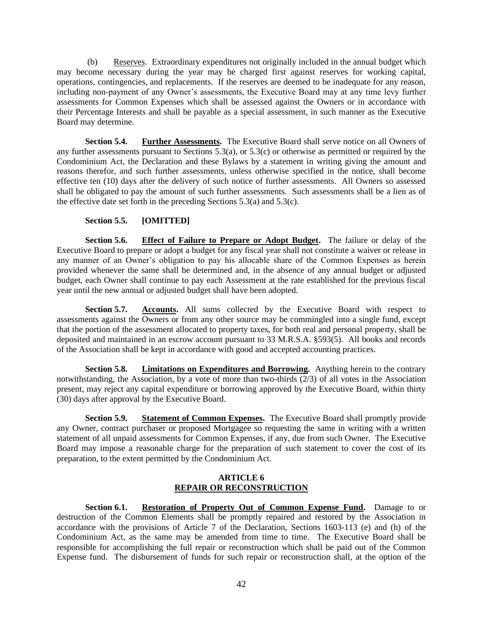(b) Reserves. Extraordinary expenditures not originally included in the annual budget which may become necessary during the year may be charged first against reserves for working capital, operations, contingencies, and replacements. If the reserves are deemed to be inadequate for any reason, including non-payment of any Owner's assessments, the Executive Board may at any time levy further assessments for Common Expenses which shall be assessed against the Owners or in accordance with their Percentage Interests and shall be payable as a special assessment, in such manner as the Executive Board may determine.

**Section 5.4.** Further Assessments. The Executive Board shall serve notice on all Owners of any further assessments pursuant to Sections 5.3(a), or 5.3(c) or otherwise as permitted or required by the Condominium Act, the Declaration and these Bylaws by a statement in writing giving the amount and reasons therefor, and such further assessments, unless otherwise specified in the notice, shall become effective ten (10) days after the delivery of such notice of further assessments. All Owners so assessed shall be obligated to pay the amount of such further assessments. Such assessments shall be a lien as of the effective date set forth in the preceding Sections 5.3(a) and 5.3(c).

# **Section 5.5. [OMITTED]**

**Section 5.6. Effect of Failure to Prepare or Adopt Budget.** The failure or delay of the Executive Board to prepare or adopt a budget for any fiscal year shall not constitute a waiver or release in any manner of an Owner's obligation to pay his allocable share of the Common Expenses as herein provided whenever the same shall be determined and, in the absence of any annual budget or adjusted budget, each Owner shall continue to pay each Assessment at the rate established for the previous fiscal year until the new annual or adjusted budget shall have been adopted.

**Section 5.7. Accounts.** All sums collected by the Executive Board with respect to assessments against the Owners or from any other source may be commingled into a single fund, except that the portion of the assessment allocated to property taxes, for both real and personal property, shall be deposited and maintained in an escrow account pursuant to 33 M.R.S.A. §593(5). All books and records of the Association shall be kept in accordance with good and accepted accounting practices.

**Section 5.8. Limitations on Expenditures and Borrowing.** Anything herein to the contrary notwithstanding, the Association, by a vote of more than two-thirds (2/3) of all votes in the Association present, may reject any capital expenditure or borrowing approved by the Executive Board, within thirty (30) days after approval by the Executive Board.

**Section 5.9. Statement of Common Expenses.** The Executive Board shall promptly provide any Owner, contract purchaser or proposed Mortgagee so requesting the same in writing with a written statement of all unpaid assessments for Common Expenses, if any, due from such Owner. The Executive Board may impose a reasonable charge for the preparation of such statement to cover the cost of its preparation, to the extent permitted by the Condominium Act.

# **ARTICLE 6 REPAIR OR RECONSTRUCTION**

**Section 6.1. Restoration of Property Out of Common Expense Fund.** Damage to or destruction of the Common Elements shall be promptly repaired and restored by the Association in accordance with the provisions of Article 7 of the Declaration, Sections 1603-113 (e) and (h) of the Condominium Act, as the same may be amended from time to time. The Executive Board shall be responsible for accomplishing the full repair or reconstruction which shall be paid out of the Common Expense fund. The disbursement of funds for such repair or reconstruction shall, at the option of the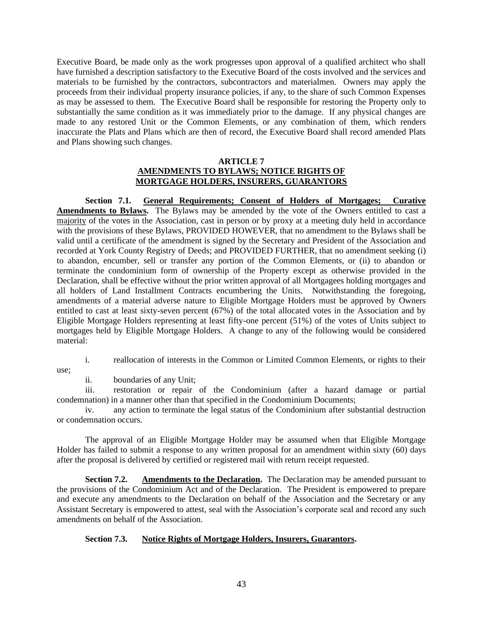Executive Board, be made only as the work progresses upon approval of a qualified architect who shall have furnished a description satisfactory to the Executive Board of the costs involved and the services and materials to be furnished by the contractors, subcontractors and materialmen. Owners may apply the proceeds from their individual property insurance policies, if any, to the share of such Common Expenses as may be assessed to them. The Executive Board shall be responsible for restoring the Property only to substantially the same condition as it was immediately prior to the damage. If any physical changes are made to any restored Unit or the Common Elements, or any combination of them, which renders inaccurate the Plats and Plans which are then of record, the Executive Board shall record amended Plats and Plans showing such changes.

## **ARTICLE 7 AMENDMENTS TO BYLAWS; NOTICE RIGHTS OF MORTGAGE HOLDERS, INSURERS, GUARANTORS**

**Section 7.1. General Requirements; Consent of Holders of Mortgages; Curative Amendments to Bylaws.** The Bylaws may be amended by the vote of the Owners entitled to cast a majority of the votes in the Association, cast in person or by proxy at a meeting duly held in accordance with the provisions of these Bylaws, PROVIDED HOWEVER, that no amendment to the Bylaws shall be valid until a certificate of the amendment is signed by the Secretary and President of the Association and recorded at York County Registry of Deeds; and PROVIDED FURTHER, that no amendment seeking (i) to abandon, encumber, sell or transfer any portion of the Common Elements, or (ii) to abandon or terminate the condominium form of ownership of the Property except as otherwise provided in the Declaration, shall be effective without the prior written approval of all Mortgagees holding mortgages and all holders of Land Installment Contracts encumbering the Units. Notwithstanding the foregoing, amendments of a material adverse nature to Eligible Mortgage Holders must be approved by Owners entitled to cast at least sixty-seven percent (67%) of the total allocated votes in the Association and by Eligible Mortgage Holders representing at least fifty-one percent (51%) of the votes of Units subject to mortgages held by Eligible Mortgage Holders. A change to any of the following would be considered material:

use;

i. reallocation of interests in the Common or Limited Common Elements, or rights to their

ii. boundaries of any Unit;

iii. restoration or repair of the Condominium (after a hazard damage or partial condemnation) in a manner other than that specified in the Condominium Documents;

iv. any action to terminate the legal status of the Condominium after substantial destruction or condemnation occurs.

The approval of an Eligible Mortgage Holder may be assumed when that Eligible Mortgage Holder has failed to submit a response to any written proposal for an amendment within sixty (60) days after the proposal is delivered by certified or registered mail with return receipt requested.

**Section 7.2.** Amendments to the Declaration. The Declaration may be amended pursuant to the provisions of the Condominium Act and of the Declaration. The President is empowered to prepare and execute any amendments to the Declaration on behalf of the Association and the Secretary or any Assistant Secretary is empowered to attest, seal with the Association's corporate seal and record any such amendments on behalf of the Association.

### **Section 7.3. Notice Rights of Mortgage Holders, Insurers, Guarantors.**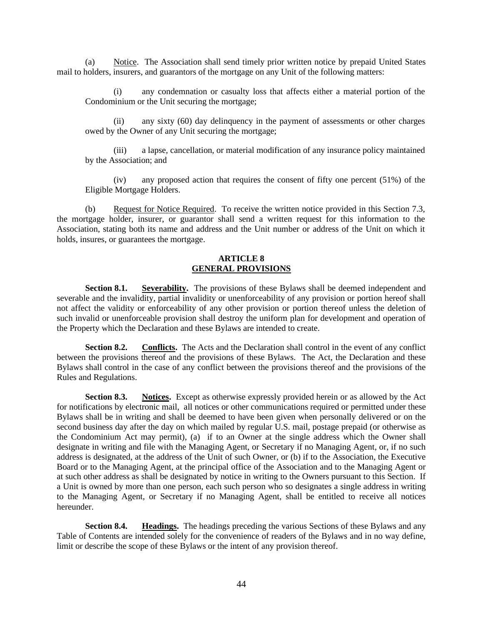(a) Notice. The Association shall send timely prior written notice by prepaid United States mail to holders, insurers, and guarantors of the mortgage on any Unit of the following matters:

(i) any condemnation or casualty loss that affects either a material portion of the Condominium or the Unit securing the mortgage;

(ii) any sixty (60) day delinquency in the payment of assessments or other charges owed by the Owner of any Unit securing the mortgage;

(iii) a lapse, cancellation, or material modification of any insurance policy maintained by the Association; and

(iv) any proposed action that requires the consent of fifty one percent (51%) of the Eligible Mortgage Holders.

(b) Request for Notice Required. To receive the written notice provided in this Section 7.3, the mortgage holder, insurer, or guarantor shall send a written request for this information to the Association, stating both its name and address and the Unit number or address of the Unit on which it holds, insures, or guarantees the mortgage.

#### **ARTICLE 8 GENERAL PROVISIONS**

**Section 8.1.** Severability. The provisions of these Bylaws shall be deemed independent and severable and the invalidity, partial invalidity or unenforceability of any provision or portion hereof shall not affect the validity or enforceability of any other provision or portion thereof unless the deletion of such invalid or unenforceable provision shall destroy the uniform plan for development and operation of the Property which the Declaration and these Bylaws are intended to create.

**Section 8.2. Conflicts.** The Acts and the Declaration shall control in the event of any conflict between the provisions thereof and the provisions of these Bylaws. The Act, the Declaration and these Bylaws shall control in the case of any conflict between the provisions thereof and the provisions of the Rules and Regulations.

**Section 8.3. Notices.** Except as otherwise expressly provided herein or as allowed by the Act for notifications by electronic mail, all notices or other communications required or permitted under these Bylaws shall be in writing and shall be deemed to have been given when personally delivered or on the second business day after the day on which mailed by regular U.S. mail, postage prepaid (or otherwise as the Condominium Act may permit), (a) if to an Owner at the single address which the Owner shall designate in writing and file with the Managing Agent, or Secretary if no Managing Agent, or, if no such address is designated, at the address of the Unit of such Owner, or (b) if to the Association, the Executive Board or to the Managing Agent, at the principal office of the Association and to the Managing Agent or at such other address as shall be designated by notice in writing to the Owners pursuant to this Section. If a Unit is owned by more than one person, each such person who so designates a single address in writing to the Managing Agent, or Secretary if no Managing Agent, shall be entitled to receive all notices hereunder.

**Section 8.4. Headings.** The headings preceding the various Sections of these Bylaws and any Table of Contents are intended solely for the convenience of readers of the Bylaws and in no way define, limit or describe the scope of these Bylaws or the intent of any provision thereof.